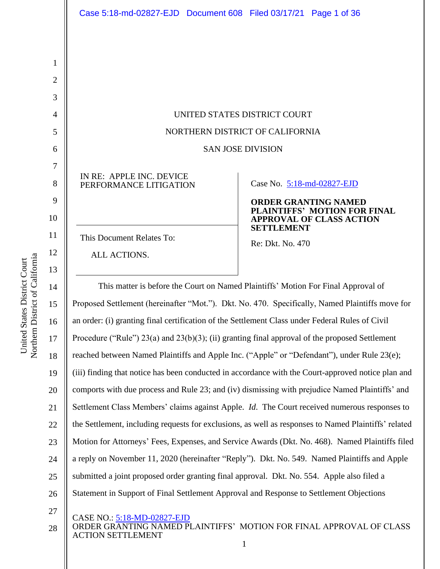| Case 5:18-md-02827-EJD  Document 608  Filed 03/17/21  Page 1 of 36                           |                                                                                      |
|----------------------------------------------------------------------------------------------|--------------------------------------------------------------------------------------|
|                                                                                              |                                                                                      |
|                                                                                              |                                                                                      |
|                                                                                              |                                                                                      |
|                                                                                              |                                                                                      |
|                                                                                              | UNITED STATES DISTRICT COURT                                                         |
|                                                                                              | NORTHERN DISTRICT OF CALIFORNIA                                                      |
|                                                                                              | <b>SAN JOSE DIVISION</b>                                                             |
| IN RE: APPLE INC. DEVICE<br>PERFORMANCE LITIGATION                                           | Case No. 5:18-md-02827-EJD<br><b>ORDER GRANTING NAMED</b>                            |
|                                                                                              | PLAINTIFFS' MOTION FOR FINAL<br><b>APPROVAL OF CLASS ACTION</b><br><b>SETTLEMENT</b> |
| This Document Relates To:                                                                    | Re: Dkt. No. 470                                                                     |
| ALL ACTIONS.                                                                                 |                                                                                      |
| This matter is before the Court on Named Plaintiffs' Motion For Final Approval of            |                                                                                      |
| oposed Settlement (hereinafter "Mot."). Dkt. No. 470. Specifically, Named Plaintiffs move fo |                                                                                      |
|                                                                                              |                                                                                      |

14 15 16 17 18 19 20 21 22 23 24 25 26 Proposed Settlement (hereinafter "Mot."). Dkt. No. 470. Specifically, Named Plaintiffs move for an order: (i) granting final certification of the Settlement Class under Federal Rules of Civil Procedure ("Rule") 23(a) and 23(b)(3); (ii) granting final approval of the proposed Settlement reached between Named Plaintiffs and Apple Inc. ("Apple" or "Defendant"), under Rule 23(e); (iii) finding that notice has been conducted in accordance with the Court-approved notice plan and comports with due process and Rule 23; and (iv) dismissing with prejudice Named Plaintiffs' and Settlement Class Members' claims against Apple. *Id*. The Court received numerous responses to the Settlement, including requests for exclusions, as well as responses to Named Plaintiffs' related Motion for Attorneys' Fees, Expenses, and Service Awards (Dkt. No. 468). Named Plaintiffs filed a reply on November 11, 2020 (hereinafter "Reply"). Dkt. No. 549. Named Plaintiffs and Apple submitted a joint proposed order granting final approval. Dkt. No. 554. Apple also filed a Statement in Support of Final Settlement Approval and Response to Settlement Objections

CASE NO.: 5:18-MD-02827-EJD

#### ORDER GRANTING NAMED PLAINTIFFS' MOTION FOR FINAL APPROVAL OF CLASS ACTION SETTLEMENT 1

1

2

3

4

5

6

7

8

9

10

11

12

13

27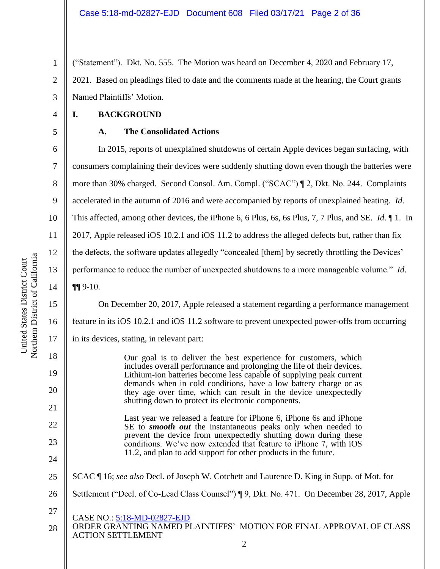1 2 3 ("Statement"). Dkt. No. 555. The Motion was heard on December 4, 2020 and February 17, 2021. Based on pleadings filed to date and the comments made at the hearing, the Court grants Named Plaintiffs' Motion.

**I. BACKGROUND**

4

5

6

7

8

9

10

11

12

13

14

15

16

18

19

20

21

22

23

24

27

## **A. The Consolidated Actions**

In 2015, reports of unexplained shutdowns of certain Apple devices began surfacing, with consumers complaining their devices were suddenly shutting down even though the batteries were more than 30% charged. Second Consol. Am. Compl. ("SCAC") ¶ 2, Dkt. No. 244. Complaints accelerated in the autumn of 2016 and were accompanied by reports of unexplained heating. *Id*. This affected, among other devices, the iPhone 6, 6 Plus, 6s, 6s Plus, 7, 7 Plus, and SE. *Id*. ¶ 1. In 2017, Apple released iOS 10.2.1 and iOS 11.2 to address the alleged defects but, rather than fix the defects, the software updates allegedly "concealed [them] by secretly throttling the Devices' performance to reduce the number of unexpected shutdowns to a more manageable volume." *Id*. ¶¶ 9-10.

On December 20, 2017, Apple released a statement regarding a performance management feature in its iOS 10.2.1 and iOS 11.2 software to prevent unexpected power-offs from occurring

17 in its devices, stating, in relevant part:

> Our goal is to deliver the best experience for customers, which includes overall performance and prolonging the life of their devices. Lithium-ion batteries become less capable of supplying peak current demands when in cold conditions, have a low battery charge or as they age over time, which can result in the device unexpectedly shutting down to protect its electronic components.

Last year we released a feature for iPhone 6, iPhone 6s and iPhone SE to *smooth out* the instantaneous peaks only when needed to prevent the device from unexpectedly shutting down during these conditions. We've now extended that feature to iPhone 7, with iOS 11.2, and plan to add support for other products in the future.

- 25 SCAC ¶ 16; *see also* Decl. of Joseph W. Cotchett and Laurence D. King in Supp. of Mot. for
- 26 Settlement ("Decl. of Co-Lead Class Counsel") ¶ 9, Dkt. No. 471. On December 28, 2017, Apple
	- CASE NO.: 5:18-MD-02827-EJD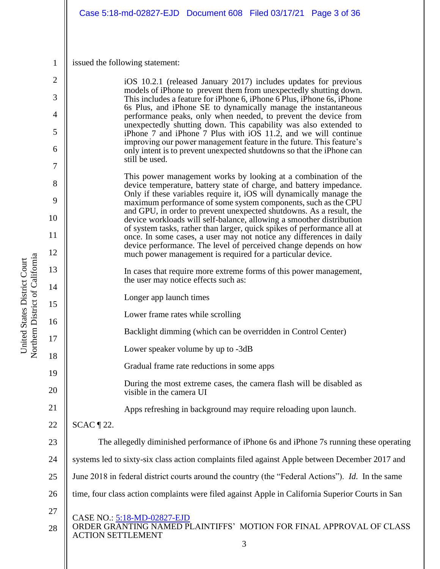|                     | Case 5:18-md-02827-EJD  Document 608  Filed 03/17/21  Page 3 of 36                                                                                                                                                 |
|---------------------|--------------------------------------------------------------------------------------------------------------------------------------------------------------------------------------------------------------------|
| $\mathbf{1}$        | issued the following statement:                                                                                                                                                                                    |
|                     |                                                                                                                                                                                                                    |
| $\overline{2}$<br>3 | iOS 10.2.1 (released January 2017) includes updates for previous<br>models of iPhone to prevent them from unexpectedly shutting down.<br>This includes a feature for iPhone 6, iPhone 6 Plus, iPhone 6s, iPhone    |
| 4                   | 6s Plus, and iPhone SE to dynamically manage the instantaneous<br>performance peaks, only when needed, to prevent the device from                                                                                  |
| 5                   | unexpectedly shutting down. This capability was also extended to<br>iPhone 7 and iPhone 7 Plus with iOS 11.2, and we will continue                                                                                 |
| 6                   | improving our power management feature in the future. This feature's<br>only intent is to prevent unexpected shutdowns so that the iPhone can<br>still be used.                                                    |
| 7                   |                                                                                                                                                                                                                    |
| 8                   | This power management works by looking at a combination of the<br>device temperature, battery state of charge, and battery impedance.                                                                              |
| 9                   | Only if these variables require it, iOS will dynamically manage the<br>maximum performance of some system components, such as the CPU                                                                              |
| 10                  | and GPU, in order to prevent unexpected shutdowns. As a result, the<br>device workloads will self-balance, allowing a smoother distribution                                                                        |
| 11                  | of system tasks, rather than larger, quick spikes of performance all at<br>once. In some cases, a user may not notice any differences in daily<br>device performance. The level of perceived change depends on how |
| 12                  | much power management is required for a particular device.                                                                                                                                                         |
| 13<br>14            | In cases that require more extreme forms of this power management,<br>the user may notice effects such as:                                                                                                         |
| 15                  | Longer app launch times                                                                                                                                                                                            |
| 16                  | Lower frame rates while scrolling                                                                                                                                                                                  |
| 17                  | Backlight dimming (which can be overridden in Control Center)                                                                                                                                                      |
| 18                  | Lower speaker volume by up to -3dB                                                                                                                                                                                 |
| 19                  | Gradual frame rate reductions in some apps                                                                                                                                                                         |
| 20                  | During the most extreme cases, the camera flash will be disabled as<br>visible in the camera UI                                                                                                                    |
| 21                  | Apps refreshing in background may require reloading upon launch.                                                                                                                                                   |
| 22                  | $SCAC \$ 22.                                                                                                                                                                                                       |
| 23                  | The allegedly diminished performance of iPhone 6s and iPhone 7s running these operating                                                                                                                            |
| 24                  | systems led to sixty-six class action complaints filed against Apple between December 2017 and                                                                                                                     |
| 25                  | June 2018 in federal district courts around the country (the "Federal Actions"). Id. In the same                                                                                                                   |
| 26                  | time, four class action complaints were filed against Apple in California Superior Courts in San                                                                                                                   |
| 27                  | CASE NO.: 5:18-MD-02827-EJD                                                                                                                                                                                        |
| 28                  | ORDER GRANTING NAMED PLAINTIFFS' MOTION FOR FINAL APPROVAL OF CLASS<br><b>ACTION SETTLEMENT</b>                                                                                                                    |

United States District Court<br>Northern District of California Northern District of California United States District Court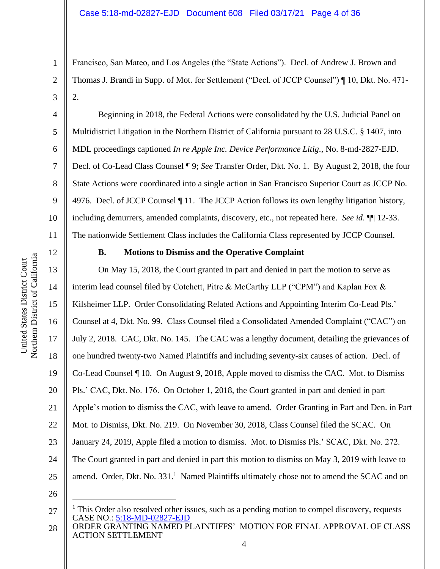Francisco, San Mateo, and Los Angeles (the "State Actions"). Decl. of Andrew J. Brown and Thomas J. Brandi in Supp. of Mot. for Settlement ("Decl. of JCCP Counsel") ¶ 10, Dkt. No. 471- 2.

Beginning in 2018, the Federal Actions were consolidated by the U.S. Judicial Panel on Multidistrict Litigation in the Northern District of California pursuant to 28 U.S.C. § 1407, into MDL proceedings captioned *In re Apple Inc. Device Performance Litig.*, No. 8-md-2827-EJD. Decl. of Co-Lead Class Counsel ¶ 9; *See* Transfer Order, Dkt. No. 1. By August 2, 2018, the four State Actions were coordinated into a single action in San Francisco Superior Court as JCCP No. 4976. Decl. of JCCP Counsel ¶ 11. The JCCP Action follows its own lengthy litigation history, including demurrers, amended complaints, discovery, etc., not repeated here. *See id*. ¶¶ 12-33. The nationwide Settlement Class includes the California Class represented by JCCP Counsel.

1

2

3

4

5

6

7

8

9

10

15

17

18

19

21

23

## **B. Motions to Dismiss and the Operative Complaint**

16 20 22 24 On May 15, 2018, the Court granted in part and denied in part the motion to serve as interim lead counsel filed by Cotchett, Pitre & McCarthy LLP ("CPM") and Kaplan Fox & Kilsheimer LLP. Order Consolidating Related Actions and Appointing Interim Co-Lead Pls.' Counsel at 4, Dkt. No. 99. Class Counsel filed a Consolidated Amended Complaint ("CAC") on July 2, 2018. CAC, Dkt. No. 145. The CAC was a lengthy document, detailing the grievances of one hundred twenty-two Named Plaintiffs and including seventy-six causes of action. Decl. of Co-Lead Counsel ¶ 10. On August 9, 2018, Apple moved to dismiss the CAC. Mot. to Dismiss Pls.' CAC, Dkt. No. 176. On October 1, 2018, the Court granted in part and denied in part Apple's motion to dismiss the CAC, with leave to amend. Order Granting in Part and Den. in Part Mot. to Dismiss, Dkt. No. 219. On November 30, 2018, Class Counsel filed the SCAC. On January 24, 2019, Apple filed a motion to dismiss. Mot. to Dismiss Pls.' SCAC, Dkt. No. 272. The Court granted in part and denied in part this motion to dismiss on May 3, 2019 with leave to amend. Order, Dkt. No. 331.<sup>1</sup> Named Plaintiffs ultimately chose not to amend the SCAC and on

26

CASE NO.: 5:18-MD-02827-EJD 27  $<sup>1</sup>$  This Order also resolved other issues, such as a pending motion to compel discovery, requests</sup>

ORDER GRANTING NAMED PLAINTIFFS' MOTION FOR FINAL APPROVAL OF CLASS ACTION SETTLEMENT 28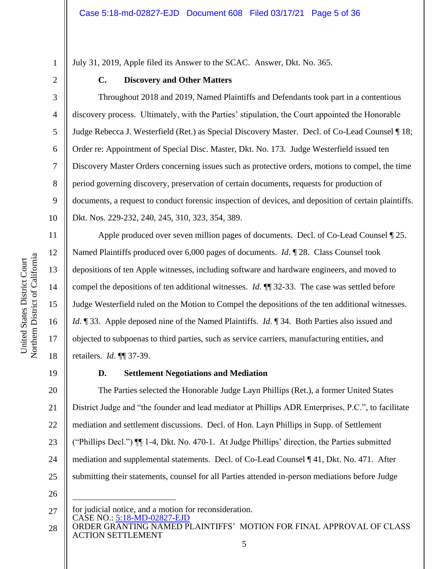July 31, 2019, Apple filed its Answer to the SCAC. Answer, Dkt. No. 365.

1 2

3

4

5

6

7

8

9

10

11

12

13

14

15

16

17

18

## **C. Discovery and Other Matters**

Throughout 2018 and 2019, Named Plaintiffs and Defendants took part in a contentious discovery process. Ultimately, with the Parties' stipulation, the Court appointed the Honorable Judge Rebecca J. Westerfield (Ret.) as Special Discovery Master. Decl. of Co-Lead Counsel ¶ 18; Order re: Appointment of Special Disc. Master, Dkt. No. 173. Judge Westerfield issued ten Discovery Master Orders concerning issues such as protective orders, motions to compel, the time period governing discovery, preservation of certain documents, requests for production of documents, a request to conduct forensic inspection of devices, and deposition of certain plaintiffs. Dkt. Nos. 229-232, 240, 245, 310, 323, 354, 389.

Apple produced over seven million pages of documents. Decl. of Co-Lead Counsel ¶ 25. Named Plaintiffs produced over 6,000 pages of documents. *Id*. ¶ 28. Class Counsel took depositions of ten Apple witnesses, including software and hardware engineers, and moved to compel the depositions of ten additional witnesses. *Id*. ¶¶ 32-33. The case was settled before Judge Westerfield ruled on the Motion to Compel the depositions of the ten additional witnesses. *Id*. ¶ 33. Apple deposed nine of the Named Plaintiffs. *Id*. ¶ 34. Both Parties also issued and objected to subpoenas to third parties, such as service carriers, manufacturing entities, and retailers. *Id*. ¶¶ 37-39.

19

## **D. Settlement Negotiations and Mediation**

20 21 22 23 24 25 The Parties selected the Honorable Judge Layn Phillips (Ret.), a former United States District Judge and "the founder and lead mediator at Phillips ADR Enterprises, P.C.", to facilitate mediation and settlement discussions. Decl. of Hon. Layn Phillips in Supp. of Settlement ("Phillips Decl.") ¶¶ 1-4, Dkt. No. 470-1. At Judge Phillips' direction, the Parties submitted mediation and supplemental statements. Decl. of Co-Lead Counsel ¶ 41, Dkt. No. 471. After submitting their statements, counsel for all Parties attended in-person mediations before Judge

CASE NO.: 5:18-MD-02827-EJD 27 for judicial notice, and a motion for reconsideration.

ORDER GRANTING NAMED PLAINTIFFS' MOTION FOR FINAL APPROVAL OF CLASS ACTION SETTLEMENT 28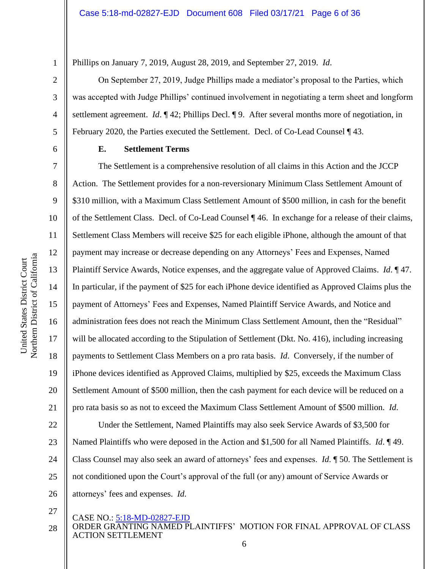Phillips on January 7, 2019, August 28, 2019, and September 27, 2019. *Id*.

On September 27, 2019, Judge Phillips made a mediator's proposal to the Parties, which was accepted with Judge Phillips' continued involvement in negotiating a term sheet and longform settlement agreement. *Id*. ¶ 42; Phillips Decl. ¶ 9. After several months more of negotiation, in February 2020, the Parties executed the Settlement. Decl. of Co-Lead Counsel ¶ 43.

1

2

3

4

5

6

7

8

9

10

11

12

13

14

15

16

17

18

19

20

21

## **E. Settlement Terms**

The Settlement is a comprehensive resolution of all claims in this Action and the JCCP Action. The Settlement provides for a non-reversionary Minimum Class Settlement Amount of \$310 million, with a Maximum Class Settlement Amount of \$500 million, in cash for the benefit of the Settlement Class. Decl. of Co-Lead Counsel ¶ 46. In exchange for a release of their claims, Settlement Class Members will receive \$25 for each eligible iPhone, although the amount of that payment may increase or decrease depending on any Attorneys' Fees and Expenses, Named Plaintiff Service Awards, Notice expenses, and the aggregate value of Approved Claims. *Id*. ¶ 47. In particular, if the payment of \$25 for each iPhone device identified as Approved Claims plus the payment of Attorneys' Fees and Expenses, Named Plaintiff Service Awards, and Notice and administration fees does not reach the Minimum Class Settlement Amount, then the "Residual" will be allocated according to the Stipulation of Settlement (Dkt. No. 416), including increasing payments to Settlement Class Members on a pro rata basis. *Id*. Conversely, if the number of iPhone devices identified as Approved Claims, multiplied by \$25, exceeds the Maximum Class Settlement Amount of \$500 million, then the cash payment for each device will be reduced on a pro rata basis so as not to exceed the Maximum Class Settlement Amount of \$500 million. *Id*.

22 23 24 25 26 Under the Settlement, Named Plaintiffs may also seek Service Awards of \$3,500 for Named Plaintiffs who were deposed in the Action and \$1,500 for all Named Plaintiffs. *Id*. ¶ 49. Class Counsel may also seek an award of attorneys' fees and expenses. *Id*. ¶ 50. The Settlement is not conditioned upon the Court's approval of the full (or any) amount of Service Awards or attorneys' fees and expenses. *Id*.

27

## CASE NO.: 5:18-MD-02827-EJD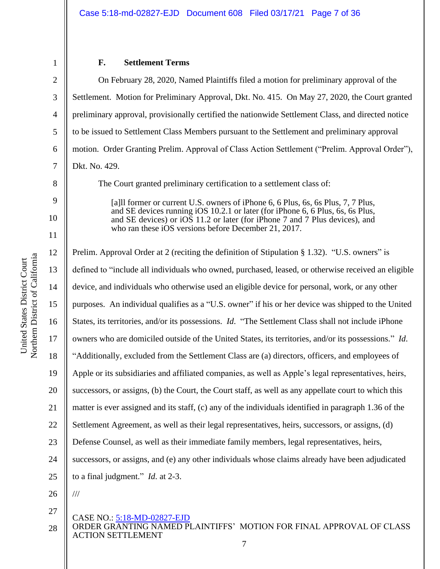6

7

8

9

10

11

27

## **F. Settlement Terms**

On February 28, 2020, Named Plaintiffs filed a motion for preliminary approval of the Settlement. Motion for Preliminary Approval, Dkt. No. 415. On May 27, 2020, the Court granted preliminary approval, provisionally certified the nationwide Settlement Class, and directed notice to be issued to Settlement Class Members pursuant to the Settlement and preliminary approval motion. Order Granting Prelim. Approval of Class Action Settlement ("Prelim. Approval Order"), Dkt. No. 429.

The Court granted preliminary certification to a settlement class of:

[a] I former or current U.S. owners of iPhone 6, 6 Plus, 6s, 6s Plus, 7, 7 Plus, and SE devices running iOS 10.2.1 or later (for iPhone 6, 6 Plus, 6s, 6s Plus, and SE devices) or iOS 11.2 or later (for iPhone 7 and 7 Plus devices), and who ran these iOS versions before December 21, 2017.

12 13 14 15 16 17 18 19 20 21 22 23 24 25 26 Prelim. Approval Order at 2 (reciting the definition of Stipulation § 1.32). "U.S. owners" is defined to "include all individuals who owned, purchased, leased, or otherwise received an eligible device, and individuals who otherwise used an eligible device for personal, work, or any other purposes. An individual qualifies as a "U.S. owner" if his or her device was shipped to the United States, its territories, and/or its possessions. *Id*. "The Settlement Class shall not include iPhone owners who are domiciled outside of the United States, its territories, and/or its possessions." *Id*. "Additionally, excluded from the Settlement Class are (a) directors, officers, and employees of Apple or its subsidiaries and affiliated companies, as well as Apple's legal representatives, heirs, successors, or assigns, (b) the Court, the Court staff, as well as any appellate court to which this matter is ever assigned and its staff, (c) any of the individuals identified in paragraph 1.36 of the Settlement Agreement, as well as their legal representatives, heirs, successors, or assigns, (d) Defense Counsel, as well as their immediate family members, legal representatives, heirs, successors, or assigns, and (e) any other individuals whose claims already have been adjudicated to a final judgment." *Id*. at 2-3. ///

## CASE NO.: 5:18-MD-02827-EJD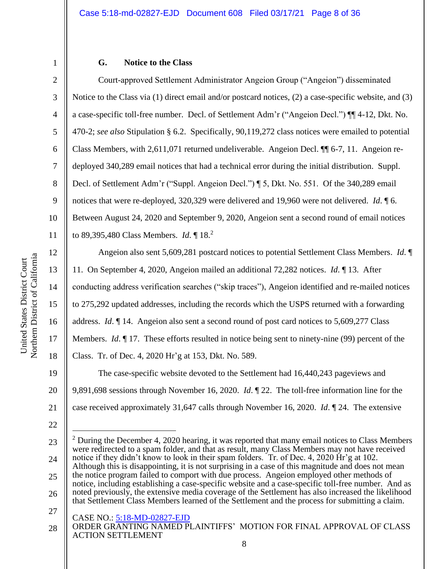2

3

4

5

6

7

8

9

10

11

12

13

14

15

16

17

18

## **G. Notice to the Class**

Court-approved Settlement Administrator Angeion Group ("Angeion") disseminated Notice to the Class via (1) direct email and/or postcard notices, (2) a case-specific website, and (3) a case-specific toll-free number. Decl. of Settlement Adm'r ("Angeion Decl.") ¶¶ 4-12, Dkt. No. 470-2; *see also* Stipulation § 6.2. Specifically, 90,119,272 class notices were emailed to potential Class Members, with 2,611,071 returned undeliverable. Angeion Decl. ¶¶ 6-7, 11. Angeion redeployed 340,289 email notices that had a technical error during the initial distribution. Suppl. Decl. of Settlement Adm'r ("Suppl. Angeion Decl.") ¶ 5, Dkt. No. 551. Of the 340,289 email notices that were re-deployed, 320,329 were delivered and 19,960 were not delivered. *Id*. ¶ 6. Between August 24, 2020 and September 9, 2020, Angeion sent a second round of email notices to 89,395,480 Class Members. *Id*. ¶ 18.<sup>2</sup>

Angeion also sent 5,609,281 postcard notices to potential Settlement Class Members. *Id*. ¶ 11. On September 4, 2020, Angeion mailed an additional 72,282 notices. *Id*. ¶ 13. After conducting address verification searches ("skip traces"), Angeion identified and re-mailed notices to 275,292 updated addresses, including the records which the USPS returned with a forwarding address. *Id*. ¶ 14. Angeion also sent a second round of post card notices to 5,609,277 Class Members. *Id*. ¶ 17. These efforts resulted in notice being sent to ninety-nine (99) percent of the Class. Tr. of Dec. 4, 2020 Hr'g at 153, Dkt. No. 589. The case-specific website devoted to the Settlement had 16,440,243 pageviews and

19 20 21 9,891,698 sessions through November 16, 2020. *Id*. ¶ 22. The toll-free information line for the case received approximately 31,647 calls through November 16, 2020. *Id*. ¶ 24. The extensive

- 26 noted previously, the extensive media coverage of the Settlement has also increased the likelihood that Settlement Class Members learned of the Settlement and the process for submitting a claim.
- CASE NO.: 5:18-MD-02827-EJD 27

<sup>23</sup> 24 25  $2$  During the December 4, 2020 hearing, it was reported that many email notices to Class Members were redirected to a spam folder, and that as result, many Class Members may not have received notice if they didn't know to look in their spam folders. Tr. of Dec. 4, 2020 Hr'g at 102. Although this is disappointing, it is not surprising in a case of this magnitude and does not mean the notice program failed to comport with due process. Angeion employed other methods of notice, including establishing a case-specific website and a case-specific toll-free number. And as

ORDER GRANTING NAMED PLAINTIFFS' MOTION FOR FINAL APPROVAL OF CLASS ACTION SETTLEMENT 28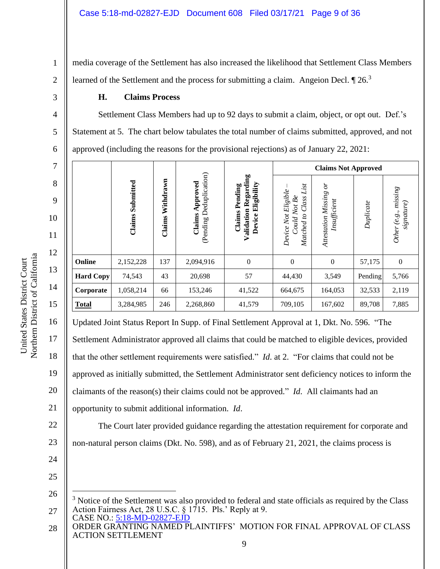1 2 media coverage of the Settlement has also increased the likelihood that Settlement Class Members learned of the Settlement and the process for submitting a claim. Angeion Decl.  $\P$  26.<sup>3</sup>

## **H. Claims Process**

Settlement Class Members had up to 92 days to submit a claim, object, or opt out. Def.'s Statement at 5. The chart below tabulates the total number of claims submitted, approved, and not approved (including the reasons for the provisional rejections) as of January 22, 2021:

| 7  |                  |           |           |                |                                | <b>Claims Not Approved</b>     |                     |           |                |
|----|------------------|-----------|-----------|----------------|--------------------------------|--------------------------------|---------------------|-----------|----------------|
| 8  |                  |           |           | Deduplication) | Regarding                      | List                           | $\delta$            |           |                |
| 9  |                  | Submitted | Withdrawn | Approved       | Eligibility<br>Pending         | $Be$<br>Class                  |                     |           | mising         |
| 10 |                  | Claims    |           | Claims         | Validation<br>Claims<br>Device | Not<br>C,<br>Could             | Insufficient        | Duplicate | signature)     |
| 11 |                  |           | Claims    | (Pending)      |                                | Device Not Eligible<br>Matched | Attestation Missing |           | Other (e.g.,   |
| 12 |                  |           |           |                |                                |                                |                     |           |                |
|    | Online           | 2,152,228 | 137       | 2,094,916      | $\boldsymbol{0}$               | $\theta$                       | $\mathbf{0}$        | 57,175    | $\overline{0}$ |
| 13 | <b>Hard Copy</b> | 74,543    | 43        | 20,698         | 57                             | 44,430                         | 3,549               | Pending   | 5,766          |
| 14 | Corporate        | 1,058,214 | 66        | 153,246        | 41,522                         | 664,675                        | 164,053             | 32,533    | 2,119          |
| 15 | <b>Total</b>     | 3,284,985 | 246       | 2,268,860      | 41,579                         | 709,105                        | 167,602             | 89,708    | 7,885          |

Updated Joint Status Report In Supp. of Final Settlement Approval at 1, Dkt. No. 596. "The

17 Settlement Administrator approved all claims that could be matched to eligible devices, provided

that the other settlement requirements were satisfied." *Id*. at 2. "For claims that could not be

19 approved as initially submitted, the Settlement Administrator sent deficiency notices to inform the

The Court later provided guidance regarding the attestation requirement for corporate and

20 claimants of the reason(s) their claims could not be approved." *Id*. All claimants had an

21 opportunity to submit additional information. *Id*.

22 23

16

18

- 24
- 25

non-natural person claims (Dkt. No. 598), and as of February 21, 2021, the claims process is

3

4

5

CASE NO.: 5:18-MD-02827-EJD 26 27 <sup>3</sup> Notice of the Settlement was also provided to federal and state officials as required by the Class Action Fairness Act, 28 U.S.C. § 1715. Pls.' Reply at 9.

ORDER GRANTING NAMED PLAINTIFFS' MOTION FOR FINAL APPROVAL OF CLASS ACTION SETTLEMENT 28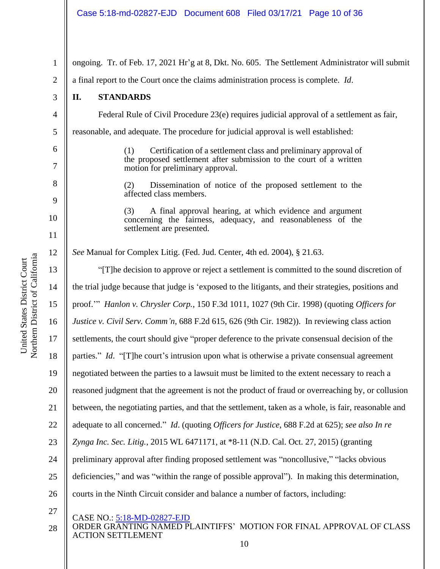| $\mathbf{1}$   | ongoing. Tr. of Feb. 17, 2021 Hr'g at 8, Dkt. No. 605. The Settlement Administrator will submit                                                                                  |
|----------------|----------------------------------------------------------------------------------------------------------------------------------------------------------------------------------|
| $\mathbf{2}$   | a final report to the Court once the claims administration process is complete. Id.                                                                                              |
| 3              | II.<br><b>STANDARDS</b>                                                                                                                                                          |
| $\overline{4}$ | Federal Rule of Civil Procedure 23(e) requires judicial approval of a settlement as fair,                                                                                        |
| 5              | reasonable, and adequate. The procedure for judicial approval is well established:                                                                                               |
| 6<br>$\tau$    | Certification of a settlement class and preliminary approval of<br>(1)<br>the proposed settlement after submission to the court of a written<br>motion for preliminary approval. |
| 8<br>9         | Dissemination of notice of the proposed settlement to the<br>(2)<br>affected class members.                                                                                      |
| 10             | A final approval hearing, at which evidence and argument<br>(3)<br>concerning the fairness, adequacy, and reasonableness of the<br>settlement are presented.                     |
| 11             |                                                                                                                                                                                  |
| 12             | See Manual for Complex Litig. (Fed. Jud. Center, 4th ed. 2004), § 21.63.                                                                                                         |
| 13             | "[T] he decision to approve or reject a settlement is committed to the sound discretion of                                                                                       |
| 14             | the trial judge because that judge is 'exposed to the litigants, and their strategies, positions and                                                                             |
| 15             | proof." Hanlon v. Chrysler Corp., 150 F.3d 1011, 1027 (9th Cir. 1998) (quoting Officers for                                                                                      |
| 16             | Justice v. Civil Serv. Comm'n, 688 F.2d 615, 626 (9th Cir. 1982)). In reviewing class action                                                                                     |
| 17             | settlements, the court should give "proper deference to the private consensual decision of the                                                                                   |
| 18             | parties." Id. "[T] he court's intrusion upon what is otherwise a private consensual agreement                                                                                    |
| 19             | negotiated between the parties to a lawsuit must be limited to the extent necessary to reach a                                                                                   |
| 20             | reasoned judgment that the agreement is not the product of fraud or overreaching by, or collusion                                                                                |
| 21             | between, the negotiating parties, and that the settlement, taken as a whole, is fair, reasonable and                                                                             |
| 22             | adequate to all concerned." Id. (quoting Officers for Justice, 688 F.2d at 625); see also In re                                                                                  |
| 23             | Zynga Inc. Sec. Litig., 2015 WL 6471171, at *8-11 (N.D. Cal. Oct. 27, 2015) (granting                                                                                            |
| 24             | preliminary approval after finding proposed settlement was "noncollusive," "lacks obvious                                                                                        |
| 25             | deficiencies," and was "within the range of possible approval"). In making this determination,                                                                                   |

27

26

CASE NO.: 5:18-MD-02827-EJD

ORDER GRANTING NAMED PLAINTIFFS' MOTION FOR FINAL APPROVAL OF CLASS ACTION SETTLEMENT 28

courts in the Ninth Circuit consider and balance a number of factors, including: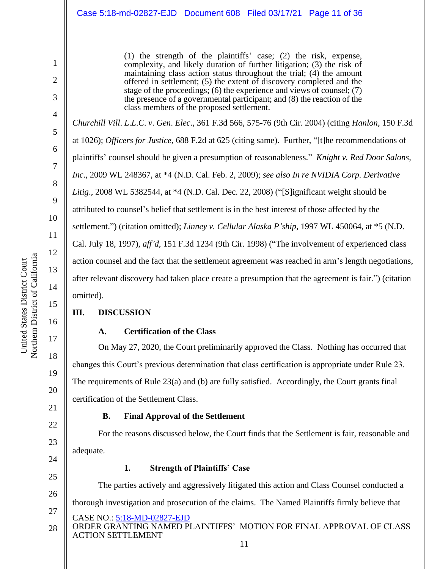(1) the strength of the plaintiffs' case; (2) the risk, expense, complexity, and likely duration of further litigation; (3) the risk of maintaining class action status throughout the trial; (4) the amount offered in settlement; (5) the extent of discovery completed and the stage of the proceedings; (6) the experience and views of counsel; (7) the presence of a governmental participant; and (8) the reaction of the class members of the proposed settlement.

*Churchill Vill*. *L*.*L*.*C*. *v*. *Gen*. *Elec*., 361 F.3d 566, 575-76 (9th Cir. 2004) (citing *Hanlon*, 150 F.3d at 1026); *Officers for Justice,* 688 F.2d at 625 (citing same). Further, "[t]he recommendations of plaintiffs' counsel should be given a presumption of reasonableness." *Knight v. Red Door Salons, Inc*., 2009 WL 248367, at \*4 (N.D. Cal. Feb. 2, 2009); *see also In re NVIDIA Corp. Derivative Litig*., 2008 WL 5382544, at \*4 (N.D. Cal. Dec. 22, 2008) ("[S]ignificant weight should be attributed to counsel's belief that settlement is in the best interest of those affected by the settlement.") (citation omitted); *Linney v. Cellular Alaska P'ship*, 1997 WL 450064, at \*5 (N.D. Cal. July 18, 1997), *aff'd*, 151 F.3d 1234 (9th Cir. 1998) ("The involvement of experienced class action counsel and the fact that the settlement agreement was reached in arm's length negotiations, after relevant discovery had taken place create a presumption that the agreement is fair.") (citation omitted).

## **III. DISCUSSION**

## **A. Certification of the Class**

On May 27, 2020, the Court preliminarily approved the Class. Nothing has occurred that changes this Court's previous determination that class certification is appropriate under Rule 23. The requirements of Rule 23(a) and (b) are fully satisfied. Accordingly, the Court grants final certification of the Settlement Class.

## **B. Final Approval of the Settlement**

For the reasons discussed below, the Court finds that the Settlement is fair, reasonable and adequate.

## **1. Strength of Plaintiffs' Case**

The parties actively and aggressively litigated this action and Class Counsel conducted a thorough investigation and prosecution of the claims. The Named Plaintiffs firmly believe that

- CASE NO.: 5:18-MD-02827-EJD
- ORDER GRANTING NAMED PLAINTIFFS' MOTION FOR FINAL APPROVAL OF CLASS ACTION SETTLEMENT 28

1

2

3

4

5

6

7

8

9

10

11

12

13

14

15

16

17

18

19

20

21

22

23

24

25

26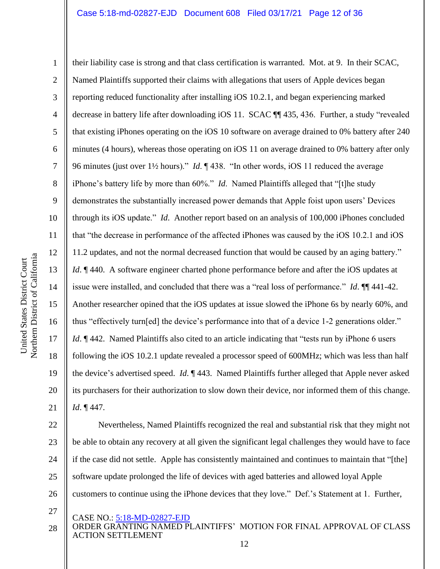Northern District of California Northern District of California United States District Court United States District Court

1 2 3 4 5 6 7 8 9 10 11 12 13 14 15 16 17 18 19 20 21 their liability case is strong and that class certification is warranted. Mot. at 9. In their SCAC, Named Plaintiffs supported their claims with allegations that users of Apple devices began reporting reduced functionality after installing iOS 10.2.1, and began experiencing marked decrease in battery life after downloading iOS 11. SCAC ¶¶ 435, 436. Further, a study "revealed that existing iPhones operating on the iOS 10 software on average drained to 0% battery after 240 minutes (4 hours), whereas those operating on iOS 11 on average drained to 0% battery after only 96 minutes (just over 1½ hours)." *Id*. ¶ 438. "In other words, iOS 11 reduced the average iPhone's battery life by more than 60%." *Id*. Named Plaintiffs alleged that "[t]he study demonstrates the substantially increased power demands that Apple foist upon users' Devices through its iOS update." *Id*. Another report based on an analysis of 100,000 iPhones concluded that "the decrease in performance of the affected iPhones was caused by the iOS 10.2.1 and iOS 11.2 updates, and not the normal decreased function that would be caused by an aging battery." *Id*.  $\parallel$  440. A software engineer charted phone performance before and after the iOS updates at issue were installed, and concluded that there was a "real loss of performance." *Id*. ¶¶ 441-42. Another researcher opined that the iOS updates at issue slowed the iPhone 6s by nearly 60%, and thus "effectively turn[ed] the device's performance into that of a device 1-2 generations older." *Id*. ¶ 442. Named Plaintiffs also cited to an article indicating that "tests run by iPhone 6 users following the iOS 10.2.1 update revealed a processor speed of 600MHz; which was less than half the device's advertised speed. *Id*. ¶ 443. Named Plaintiffs further alleged that Apple never asked its purchasers for their authorization to slow down their device, nor informed them of this change. *Id*. ¶ 447.

22 23 24 25 26 Nevertheless, Named Plaintiffs recognized the real and substantial risk that they might not be able to obtain any recovery at all given the significant legal challenges they would have to face if the case did not settle. Apple has consistently maintained and continues to maintain that "[the] software update prolonged the life of devices with aged batteries and allowed loyal Apple customers to continue using the iPhone devices that they love." Def.'s Statement at 1. Further,

27

CASE NO.: 5:18-MD-02827-EJD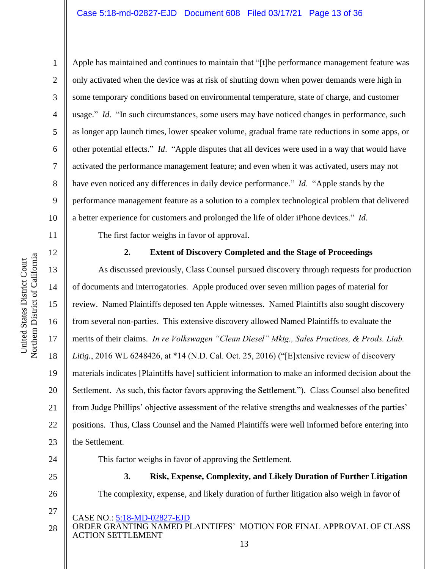Northern District of California Northern District of California United States District Court United States District Court

11

12

13

14

15

16

17

18

19

20

21

22

23

1

2 3 4 5 6 7 8 9 10 Apple has maintained and continues to maintain that "[t]he performance management feature was only activated when the device was at risk of shutting down when power demands were high in some temporary conditions based on environmental temperature, state of charge, and customer usage." *Id.* "In such circumstances, some users may have noticed changes in performance, such as longer app launch times, lower speaker volume, gradual frame rate reductions in some apps, or other potential effects." *Id*. "Apple disputes that all devices were used in a way that would have activated the performance management feature; and even when it was activated, users may not have even noticed any differences in daily device performance." *Id*. "Apple stands by the performance management feature as a solution to a complex technological problem that delivered a better experience for customers and prolonged the life of older iPhone devices." *Id*.

The first factor weighs in favor of approval.

## **2. Extent of Discovery Completed and the Stage of Proceedings**

As discussed previously, Class Counsel pursued discovery through requests for production of documents and interrogatories. Apple produced over seven million pages of material for review. Named Plaintiffs deposed ten Apple witnesses. Named Plaintiffs also sought discovery from several non-parties. This extensive discovery allowed Named Plaintiffs to evaluate the merits of their claims. *In re Volkswagen "Clean Diesel" Mktg., Sales Practices, & Prods. Liab. Litig.*, 2016 WL 6248426, at \*14 (N.D. Cal. Oct. 25, 2016) ("[E]xtensive review of discovery materials indicates [Plaintiffs have] sufficient information to make an informed decision about the Settlement. As such, this factor favors approving the Settlement."). Class Counsel also benefited from Judge Phillips' objective assessment of the relative strengths and weaknesses of the parties' positions. Thus, Class Counsel and the Named Plaintiffs were well informed before entering into the Settlement.

24

25

26

27

The complexity, expense, and likely duration of further litigation also weigh in favor of

This factor weighs in favor of approving the Settlement.

CASE NO.: 5:18-MD-02827-EJD

ORDER GRANTING NAMED PLAINTIFFS' MOTION FOR FINAL APPROVAL OF CLASS ACTION SETTLEMENT 28

**3. Risk, Expense, Complexity, and Likely Duration of Further Litigation**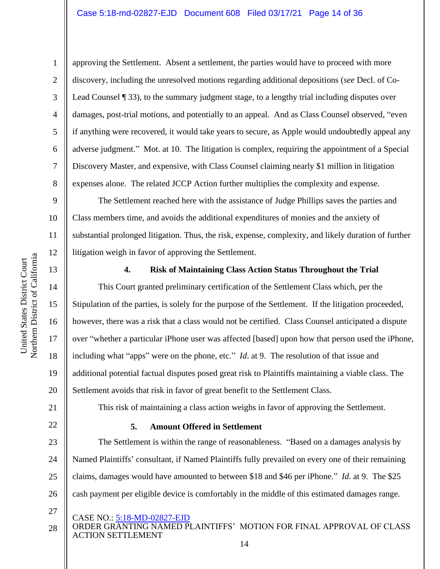approving the Settlement. Absent a settlement, the parties would have to proceed with more discovery, including the unresolved motions regarding additional depositions (*see* Decl. of Co-Lead Counsel ¶ 33), to the summary judgment stage, to a lengthy trial including disputes over damages, post-trial motions, and potentially to an appeal. And as Class Counsel observed, "even if anything were recovered, it would take years to secure, as Apple would undoubtedly appeal any adverse judgment." Mot. at 10. The litigation is complex, requiring the appointment of a Special Discovery Master, and expensive, with Class Counsel claiming nearly \$1 million in litigation expenses alone. The related JCCP Action further multiplies the complexity and expense.

10 12 The Settlement reached here with the assistance of Judge Phillips saves the parties and Class members time, and avoids the additional expenditures of monies and the anxiety of substantial prolonged litigation. Thus, the risk, expense, complexity, and likely duration of further litigation weigh in favor of approving the Settlement.

## 13

14

15

United States District Court Northern District of California

Northern District of California United States District Court

16

17

18

19

20

1

2

3

4

5

6

7

8

9

11

## **4. Risk of Maintaining Class Action Status Throughout the Trial**

This Court granted preliminary certification of the Settlement Class which, per the Stipulation of the parties, is solely for the purpose of the Settlement. If the litigation proceeded, however, there was a risk that a class would not be certified. Class Counsel anticipated a dispute over "whether a particular iPhone user was affected [based] upon how that person used the iPhone, including what "apps" were on the phone, etc." *Id*. at 9. The resolution of that issue and additional potential factual disputes posed great risk to Plaintiffs maintaining a viable class. The Settlement avoids that risk in favor of great benefit to the Settlement Class.

This risk of maintaining a class action weighs in favor of approving the Settlement.

Named Plaintiffs' consultant, if Named Plaintiffs fully prevailed on every one of their remaining

claims, damages would have amounted to between \$18 and \$46 per iPhone." *Id.* at 9. The \$25

cash payment per eligible device is comfortably in the middle of this estimated damages range.

The Settlement is within the range of reasonableness. "Based on a damages analysis by

21

22

23

24

25 26

27

CASE NO.: 5:18-MD-02827-EJD

ORDER GRANTING NAMED PLAINTIFFS' MOTION FOR FINAL APPROVAL OF CLASS ACTION SETTLEMENT 14 28

**5. Amount Offered in Settlement**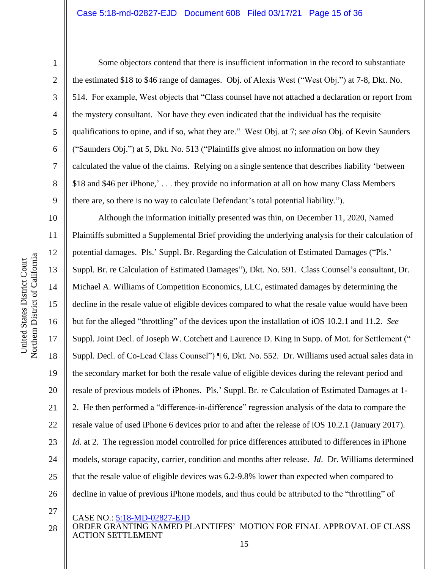2

3

4

5

6

7

8

9

Some objectors contend that there is insufficient information in the record to substantiate the estimated \$18 to \$46 range of damages. Obj. of Alexis West ("West Obj.") at 7-8, Dkt. No. 514. For example, West objects that "Class counsel have not attached a declaration or report from the mystery consultant. Nor have they even indicated that the individual has the requisite qualifications to opine, and if so, what they are." West Obj. at 7; *see also* Obj. of Kevin Saunders ("Saunders Obj.") at 5, Dkt. No. 513 ("Plaintiffs give almost no information on how they calculated the value of the claims. Relying on a single sentence that describes liability 'between \$18 and \$46 per iPhone,' . . . they provide no information at all on how many Class Members there are, so there is no way to calculate Defendant's total potential liability.").

10 11 12 13 14 15 16 17 18 19 20 21 22 23 24 25 26 Although the information initially presented was thin, on December 11, 2020, Named Plaintiffs submitted a Supplemental Brief providing the underlying analysis for their calculation of potential damages. Pls.' Suppl. Br. Regarding the Calculation of Estimated Damages ("Pls.' Suppl. Br. re Calculation of Estimated Damages"), Dkt. No. 591. Class Counsel's consultant, Dr. Michael A. Williams of Competition Economics, LLC, estimated damages by determining the decline in the resale value of eligible devices compared to what the resale value would have been but for the alleged "throttling" of the devices upon the installation of iOS 10.2.1 and 11.2. *See* Suppl. Joint Decl. of Joseph W. Cotchett and Laurence D. King in Supp. of Mot. for Settlement (" Suppl. Decl. of Co-Lead Class Counsel") ¶ 6, Dkt. No. 552. Dr. Williams used actual sales data in the secondary market for both the resale value of eligible devices during the relevant period and resale of previous models of iPhones. Pls.' Suppl. Br. re Calculation of Estimated Damages at 1- 2. He then performed a "difference-in-difference" regression analysis of the data to compare the resale value of used iPhone 6 devices prior to and after the release of iOS 10.2.1 (January 2017). *Id.* at 2. The regression model controlled for price differences attributed to differences in iPhone models, storage capacity, carrier, condition and months after release. *Id*. Dr. Williams determined that the resale value of eligible devices was 6.2-9.8% lower than expected when compared to decline in value of previous iPhone models, and thus could be attributed to the "throttling" of

- 27
- CASE NO.: 5:18-MD-02827-EJD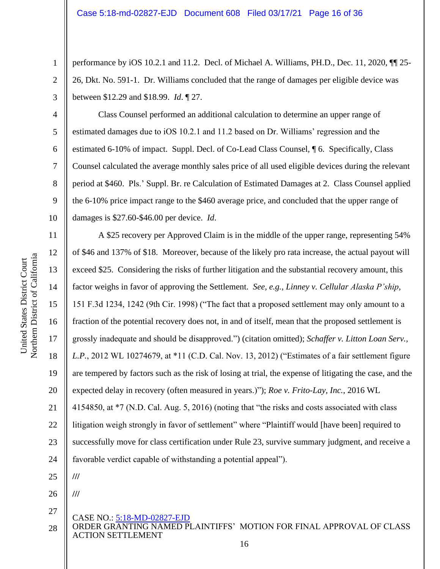performance by iOS 10.2.1 and 11.2. Decl. of Michael A. Williams, PH.D., Dec. 11, 2020, ¶¶ 25- 26, Dkt. No. 591-1. Dr. Williams concluded that the range of damages per eligible device was between \$12.29 and \$18.99. *Id*. ¶ 27.

Class Counsel performed an additional calculation to determine an upper range of estimated damages due to iOS 10.2.1 and 11.2 based on Dr. Williams' regression and the estimated 6-10% of impact. Suppl. Decl. of Co-Lead Class Counsel, ¶ 6. Specifically, Class Counsel calculated the average monthly sales price of all used eligible devices during the relevant period at \$460. Pls.' Suppl. Br. re Calculation of Estimated Damages at 2. Class Counsel applied the 6-10% price impact range to the \$460 average price, and concluded that the upper range of damages is \$27.60-\$46.00 per device. *Id*.

CASE NO.: 5:18-MD-02827-EJD A \$25 recovery per Approved Claim is in the middle of the upper range, representing 54% of \$46 and 137% of \$18. Moreover, because of the likely pro rata increase, the actual payout will exceed \$25. Considering the risks of further litigation and the substantial recovery amount, this factor weighs in favor of approving the Settlement. *See, e.g.*, *Linney v. Cellular Alaska P'ship*, 151 F.3d 1234, 1242 (9th Cir. 1998) ("The fact that a proposed settlement may only amount to a fraction of the potential recovery does not, in and of itself, mean that the proposed settlement is grossly inadequate and should be disapproved.") (citation omitted); *Schaffer v. Litton Loan Serv., L.P.*, 2012 WL 10274679, at \*11 (C.D. Cal. Nov. 13, 2012) ("Estimates of a fair settlement figure are tempered by factors such as the risk of losing at trial, the expense of litigating the case, and the expected delay in recovery (often measured in years.)"); *Roe v. Frito-Lay, Inc.*, 2016 WL 4154850, at \*7 (N.D. Cal. Aug. 5, 2016) (noting that "the risks and costs associated with class litigation weigh strongly in favor of settlement" where "Plaintiff would [have been] required to successfully move for class certification under Rule 23, survive summary judgment, and receive a favorable verdict capable of withstanding a potential appeal"). **/// ///**

ORDER GRANTING NAMED PLAINTIFFS' MOTION FOR FINAL APPROVAL OF CLASS ACTION SETTLEMENT 28

1

2

3

4

5

6

7

8

9

10

11

12

13

14

15

16

17

18

19

20

21

22

23

24

25

26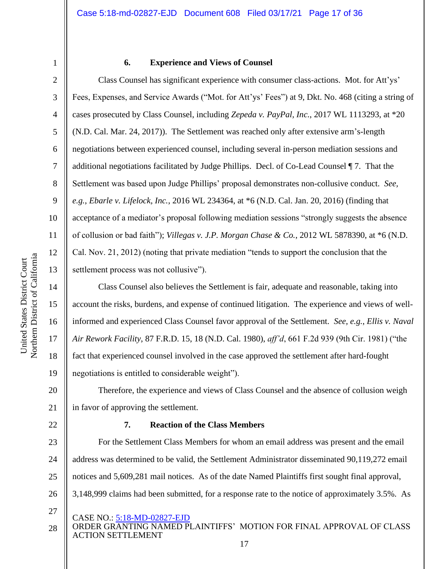4

5

6

7

8

9

10

11

12

13

14

17

18

19

22

## **6. Experience and Views of Counsel**

Class Counsel has significant experience with consumer class-actions. Mot. for Att'ys' Fees, Expenses, and Service Awards ("Mot. for Att'ys' Fees") at 9, Dkt. No. 468 (citing a string of cases prosecuted by Class Counsel, including *Zepeda v. PayPal, Inc.*, 2017 WL 1113293, at \*20 (N.D. Cal. Mar. 24, 2017)). The Settlement was reached only after extensive arm's-length negotiations between experienced counsel, including several in-person mediation sessions and additional negotiations facilitated by Judge Phillips. Decl. of Co-Lead Counsel ¶ 7. That the Settlement was based upon Judge Phillips' proposal demonstrates non-collusive conduct. *See, e.g.*, *Ebarle v. Lifelock, Inc.*, 2016 WL 234364, at \*6 (N.D. Cal. Jan. 20, 2016) (finding that acceptance of a mediator's proposal following mediation sessions "strongly suggests the absence of collusion or bad faith"); *Villegas v. J.P. Morgan Chase & Co.*, 2012 WL 5878390, at \*6 (N.D. Cal. Nov. 21, 2012) (noting that private mediation "tends to support the conclusion that the settlement process was not collusive").

15 16 Class Counsel also believes the Settlement is fair, adequate and reasonable, taking into account the risks, burdens, and expense of continued litigation. The experience and views of wellinformed and experienced Class Counsel favor approval of the Settlement. *See, e.g.*, *Ellis v. Naval Air Rework Facility*, 87 F.R.D. 15, 18 (N.D. Cal. 1980), *aff'd*, 661 F.2d 939 (9th Cir. 1981) ("the fact that experienced counsel involved in the case approved the settlement after hard-fought negotiations is entitled to considerable weight").

20 21 Therefore, the experience and views of Class Counsel and the absence of collusion weigh in favor of approving the settlement.

## **7. Reaction of the Class Members**

23 24 25 26 For the Settlement Class Members for whom an email address was present and the email address was determined to be valid, the Settlement Administrator disseminated 90,119,272 email notices and 5,609,281 mail notices. As of the date Named Plaintiffs first sought final approval, 3,148,999 claims had been submitted, for a response rate to the notice of approximately 3.5%. As

- CASE NO.: 5:18-MD-02827-EJD
- ORDER GRANTING NAMED PLAINTIFFS' MOTION FOR FINAL APPROVAL OF CLASS ACTION SETTLEMENT 28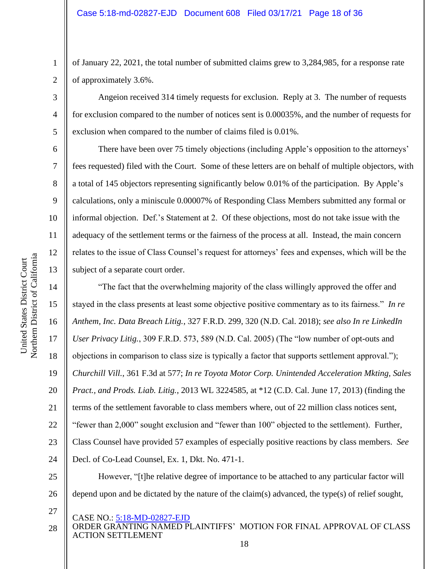of January 22, 2021, the total number of submitted claims grew to 3,284,985, for a response rate of approximately 3.6%.

Angeion received 314 timely requests for exclusion. Reply at 3. The number of requests for exclusion compared to the number of notices sent is 0.00035%, and the number of requests for exclusion when compared to the number of claims filed is 0.01%.

There have been over 75 timely objections (including Apple's opposition to the attorneys' fees requested) filed with the Court. Some of these letters are on behalf of multiple objectors, with a total of 145 objectors representing significantly below 0.01% of the participation. By Apple's calculations, only a miniscule 0.00007% of Responding Class Members submitted any formal or informal objection. Def.'s Statement at 2. Of these objections, most do not take issue with the adequacy of the settlement terms or the fairness of the process at all. Instead, the main concern relates to the issue of Class Counsel's request for attorneys' fees and expenses, which will be the subject of a separate court order.

"The fact that the overwhelming majority of the class willingly approved the offer and stayed in the class presents at least some objective positive commentary as to its fairness." *In re Anthem, Inc. Data Breach Litig.*, 327 F.R.D. 299, 320 (N.D. Cal. 2018); *see also In re LinkedIn User Privacy Litig.*, 309 F.R.D. 573, 589 (N.D. Cal. 2005) (The "low number of opt-outs and objections in comparison to class size is typically a factor that supports settlement approval."); *Churchill Vill.*, 361 F.3d at 577; *In re Toyota Motor Corp. Unintended Acceleration Mkting, Sales Pract., and Prods. Liab. Litig.*, 2013 WL 3224585, at \*12 (C.D. Cal. June 17, 2013) (finding the terms of the settlement favorable to class members where, out of 22 million class notices sent, "fewer than 2,000" sought exclusion and "fewer than 100" objected to the settlement). Further, Class Counsel have provided 57 examples of especially positive reactions by class members. *See* Decl. of Co-Lead Counsel, Ex. 1, Dkt. No. 471-1. However, "[t]he relative degree of importance to be attached to any particular factor will

- 27
- CASE NO.: 5:18-MD-02827-EJD
- ORDER GRANTING NAMED PLAINTIFFS' MOTION FOR FINAL APPROVAL OF CLASS ACTION SETTLEMENT 28

1

2

3

4

5

6

7

8

9

10

11

12

13

14

15

16

17

18

19

20

21

22

23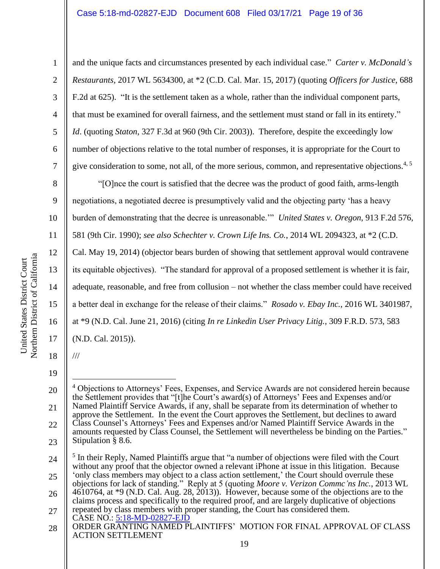and the unique facts and circumstances presented by each individual case." *Carter v. McDonald's Restaurants*, 2017 WL 5634300, at \*2 (C.D. Cal. Mar. 15, 2017) (quoting *Officers for Justice*, 688 F.2d at 625). "It is the settlement taken as a whole, rather than the individual component parts, that must be examined for overall fairness, and the settlement must stand or fall in its entirety." *Id*. (quoting *Staton*, 327 F.3d at 960 (9th Cir. 2003)). Therefore, despite the exceedingly low number of objections relative to the total number of responses, it is appropriate for the Court to give consideration to some, not all, of the more serious, common, and representative objections.<sup>4, 5</sup>

"[O]nce the court is satisfied that the decree was the product of good faith, arms-length negotiations, a negotiated decree is presumptively valid and the objecting party 'has a heavy burden of demonstrating that the decree is unreasonable.'" *United States v. Oregon*, 913 F.2d 576, 581 (9th Cir. 1990); *see also Schechter v. Crown Life Ins. Co.*, 2014 WL 2094323, at \*2 (C.D.

Cal. May 19, 2014) (objector bears burden of showing that settlement approval would contravene its equitable objectives). "The standard for approval of a proposed settlement is whether it is fair, adequate, reasonable, and free from collusion – not whether the class member could have received a better deal in exchange for the release of their claims." *Rosado v. Ebay Inc.*, 2016 WL 3401987, at \*9 (N.D. Cal. June 21, 2016) (citing *In re Linkedin User Privacy Litig.*, 309 F.R.D. 573, 583 (N.D. Cal. 2015)).

18 19 ///

1

2

3

4

5

6

7

8

9

10

11

12

13

14

15

16

<sup>20</sup> 21 22 23 <sup>4</sup> Objections to Attorneys' Fees, Expenses, and Service Awards are not considered herein because the Settlement provides that "[t]he Court's award(s) of Attorneys' Fees and Expenses and/or Named Plaintiff Service Awards, if any, shall be separate from its determination of whether to approve the Settlement. In the event the Court approves the Settlement, but declines to award Class Counsel's Attorneys' Fees and Expenses and/or Named Plaintiff Service Awards in the amounts requested by Class Counsel, the Settlement will nevertheless be binding on the Parties." Stipulation § 8.6.

<sup>24</sup> 25 <sup>5</sup> In their Reply, Named Plaintiffs argue that "a number of objections were filed with the Court without any proof that the objector owned a relevant iPhone at issue in this litigation. Because 'only class members may object to a class action settlement,' the Court should overrule these

<sup>26</sup> objections for lack of standing." Reply at 5 (quoting *Moore v. Verizon Commc'ns Inc.*, 2013 WL 4610764, at \*9 (N.D. Cal. Aug. 28, 2013)). However, because some of the objections are to the claims process and specifically to the required proof, and are largely duplicative of objections

<sup>27</sup> repeated by class members with proper standing, the Court has considered them.

CASE NO.: 5:18-MD-02827-EJD

ORDER GRANTING NAMED PLAINTIFFS' MOTION FOR FINAL APPROVAL OF CLASS ACTION SETTLEMENT 28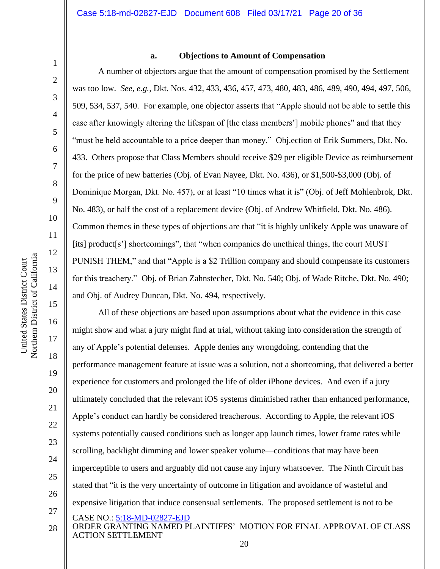12

13

14

15

16

17

18

19

20

21

22

23

24

25

26

#### **a. Objections to Amount of Compensation**

A number of objectors argue that the amount of compensation promised by the Settlement was too low. *See, e.g.,* Dkt. Nos. 432, 433, 436, 457, 473, 480, 483, 486, 489, 490, 494, 497, 506, 509, 534, 537, 540. For example, one objector asserts that "Apple should not be able to settle this case after knowingly altering the lifespan of [the class members'] mobile phones" and that they "must be held accountable to a price deeper than money." Obj.ection of Erik Summers, Dkt. No. 433. Others propose that Class Members should receive \$29 per eligible Device as reimbursement for the price of new batteries (Obj. of Evan Nayee, Dkt. No. 436), or \$1,500-\$3,000 (Obj. of Dominique Morgan, Dkt. No. 457), or at least "10 times what it is" (Obj. of Jeff Mohlenbrok, Dkt. No. 483), or half the cost of a replacement device (Obj. of Andrew Whitfield, Dkt. No. 486). Common themes in these types of objections are that "it is highly unlikely Apple was unaware of [its] product[s'] shortcomings", that "when companies do unethical things, the court MUST PUNISH THEM," and that "Apple is a \$2 Trillion company and should compensate its customers for this treachery." Obj. of Brian Zahnstecher, Dkt. No. 540; Obj. of Wade Ritche, Dkt. No. 490; and Obj. of Audrey Duncan, Dkt. No. 494, respectively.

CASE NO.: 5:18-MD-02827-EJD All of these objections are based upon assumptions about what the evidence in this case might show and what a jury might find at trial, without taking into consideration the strength of any of Apple's potential defenses. Apple denies any wrongdoing, contending that the performance management feature at issue was a solution, not a shortcoming, that delivered a better experience for customers and prolonged the life of older iPhone devices. And even if a jury ultimately concluded that the relevant iOS systems diminished rather than enhanced performance, Apple's conduct can hardly be considered treacherous. According to Apple, the relevant iOS systems potentially caused conditions such as longer app launch times, lower frame rates while scrolling, backlight dimming and lower speaker volume—conditions that may have been imperceptible to users and arguably did not cause any injury whatsoever. The Ninth Circuit has stated that "it is the very uncertainty of outcome in litigation and avoidance of wasteful and expensive litigation that induce consensual settlements. The proposed settlement is not to be

27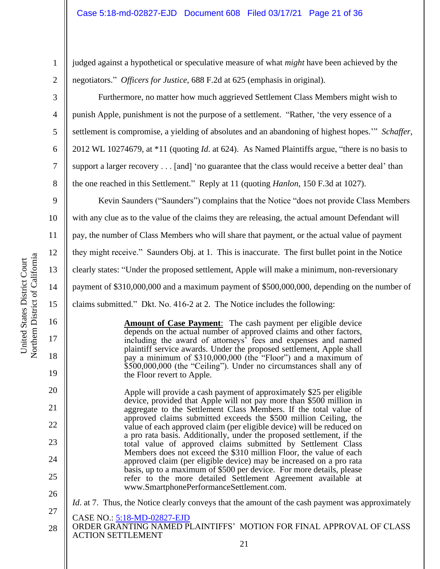judged against a hypothetical or speculative measure of what *might* have been achieved by the negotiators." *Officers for Justice,* 688 F.2d at 625 (emphasis in original).

Furthermore, no matter how much aggrieved Settlement Class Members might wish to punish Apple, punishment is not the purpose of a settlement. "Rather, 'the very essence of a settlement is compromise, a yielding of absolutes and an abandoning of highest hopes.'" *Schaffer*, 2012 WL 10274679, at \*11 (quoting *Id*. at 624). As Named Plaintiffs argue, "there is no basis to support a larger recovery . . . [and] 'no guarantee that the class would receive a better deal' than the one reached in this Settlement." Reply at 11 (quoting *Hanlon*, 150 F.3d at 1027).

Kevin Saunders ("Saunders") complains that the Notice "does not provide Class Members with any clue as to the value of the claims they are releasing, the actual amount Defendant will pay, the number of Class Members who will share that payment, or the actual value of payment they might receive." Saunders Obj. at 1. This is inaccurate. The first bullet point in the Notice clearly states: "Under the proposed settlement, Apple will make a minimum, non-reversionary payment of \$310,000,000 and a maximum payment of \$500,000,000, depending on the number of claims submitted." Dkt. No. 416-2 at 2. The Notice includes the following:

> **Amount of Case Payment**:The cash payment per eligible device depends on the actual number of approved claims and other factors, including the award of attorneys' fees and expenses and named plaintiff service awards. Under the proposed settlement, Apple shall pay a minimum of \$310,000,000 (the "Floor") and a maximum of \$500,000,000 (the "Ceiling"). Under no circumstances shall any of the Floor revert to Apple.

Apple will provide a cash payment of approximately \$25 per eligible device, provided that Apple will not pay more than \$500 million in aggregate to the Settlement Class Members. If the total value of approved claims submitted exceeds the \$500 million Ceiling, the value of each approved claim (per eligible device) will be reduced on a pro rata basis. Additionally, under the proposed settlement, if the total value of approved claims submitted by Settlement Class Members does not exceed the \$310 million Floor, the value of each approved claim (per eligible device) may be increased on a pro rata basis, up to a maximum of \$500 per device. For more details, please refer to the more detailed Settlement Agreement available at www.SmartphonePerformanceSettlement.com.

*Id.* at 7. Thus, the Notice clearly conveys that the amount of the cash payment was approximately

CASE NO.: 5:18-MD-02827-EJD 27

1

2

3

4

5

6

7

8

9

10

11

12

13

14

15

16

17

18

19

20

21

22

23

24

<sup>26</sup>

ORDER GRANTING NAMED PLAINTIFFS' MOTION FOR FINAL APPROVAL OF CLASS ACTION SETTLEMENT 28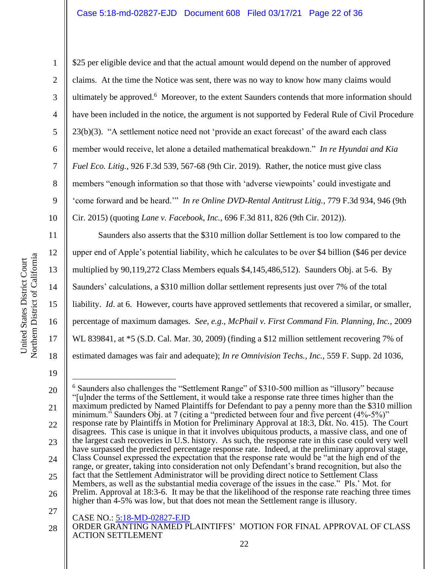1 2 3 4 5 6 7 8 9 10 \$25 per eligible device and that the actual amount would depend on the number of approved claims. At the time the Notice was sent, there was no way to know how many claims would ultimately be approved.<sup>6</sup> Moreover, to the extent Saunders contends that more information should have been included in the notice, the argument is not supported by Federal Rule of Civil Procedure 23(b)(3). "A settlement notice need not 'provide an exact forecast' of the award each class member would receive, let alone a detailed mathematical breakdown." *In re Hyundai and Kia Fuel Eco. Litig.*, 926 F.3d 539, 567-68 (9th Cir. 2019). Rather, the notice must give class members "enough information so that those with 'adverse viewpoints' could investigate and 'come forward and be heard.'" *In re Online DVD-Rental Antitrust Litig.*, 779 F.3d 934, 946 (9th Cir. 2015) (quoting *Lane v. Facebook, Inc.*, 696 F.3d 811, 826 (9th Cir. 2012)).

Saunders also asserts that the \$310 million dollar Settlement is too low compared to the upper end of Apple's potential liability, which he calculates to be over \$4 billion (\$46 per device multiplied by 90,119,272 Class Members equals \$4,145,486,512). Saunders Obj. at 5-6. By Saunders' calculations, a \$310 million dollar settlement represents just over 7% of the total liability. *Id*. at 6. However, courts have approved settlements that recovered a similar, or smaller, percentage of maximum damages*. See, e.g*., *McPhail v. First Command Fin. Planning, Inc.*, 2009 WL 839841, at \*5 (S.D. Cal. Mar. 30, 2009) (finding a \$12 million settlement recovering 7% of estimated damages was fair and adequate); *In re Omnivision Techs., Inc.*, 559 F. Supp. 2d 1036,

19

11

12

13

14

15

16

17

18

CASE NO.: 5:18-MD-02827-EJD 20 21 22 23 24 25 26 27 <sup>6</sup> Saunders also challenges the "Settlement Range" of \$310-500 million as "illusory" because "[u]nder the terms of the Settlement, it would take a response rate three times higher than the maximum predicted by Named Plaintiffs for Defendant to pay a penny more than the \$310 million minimum." Saunders Obj. at 7 (citing a "predicted between four and five percent (4%-5%)" response rate by Plaintiffs in Motion for Preliminary Approval at 18:3, Dkt. No. 415). The Court disagrees. This case is unique in that it involves ubiquitous products, a massive class, and one of the largest cash recoveries in U.S. history. As such, the response rate in this case could very well have surpassed the predicted percentage response rate. Indeed, at the preliminary approval stage, Class Counsel expressed the expectation that the response rate would be "at the high end of the range, or greater, taking into consideration not only Defendant's brand recognition, but also the fact that the Settlement Administrator will be providing direct notice to Settlement Class Members, as well as the substantial media coverage of the issues in the case." Pls.' Mot. for Prelim. Approval at 18:3-6. It may be that the likelihood of the response rate reaching three times higher than 4-5% was low, but that does not mean the Settlement range is illusory.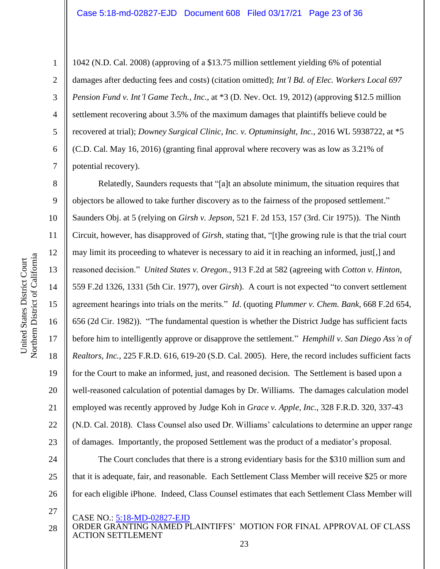1042 (N.D. Cal. 2008) (approving of a \$13.75 million settlement yielding 6% of potential damages after deducting fees and costs) (citation omitted); *Int'l Bd. of Elec. Workers Local 697 Pension Fund v. Int'l Game Tech., Inc*., at \*3 (D. Nev. Oct. 19, 2012) (approving \$12.5 million settlement recovering about 3.5% of the maximum damages that plaintiffs believe could be recovered at trial); *Downey Surgical Clinic, Inc. v. Optuminsight, Inc.*, 2016 WL 5938722, at \*5 (C.D. Cal. May 16, 2016) (granting final approval where recovery was as low as 3.21% of potential recovery).

Relatedly, Saunders requests that "[a]t an absolute minimum, the situation requires that objectors be allowed to take further discovery as to the fairness of the proposed settlement." Saunders Obj. at 5 (relying on *Girsh v. Jepson*, 521 F. 2d 153, 157 (3rd. Cir 1975)). The Ninth Circuit, however, has disapproved of *Girsh*, stating that, "[t]he growing rule is that the trial court may limit its proceeding to whatever is necessary to aid it in reaching an informed, just[,] and reasoned decision." *United States v. Oregon.*, 913 F.2d at 582 (agreeing with *Cotton v. Hinton,* 559 F.2d 1326, 1331 (5th Cir. 1977), over *Girsh*). A court is not expected "to convert settlement agreement hearings into trials on the merits." *Id*. (quoting *Plummer v. Chem. Bank,* 668 F.2d 654, 656 (2d Cir. 1982)). "The fundamental question is whether the District Judge has sufficient facts before him to intelligently approve or disapprove the settlement." *Hemphill v. San Diego Ass'n of Realtors, Inc.*, 225 F.R.D. 616, 619-20 (S.D. Cal. 2005). Here, the record includes sufficient facts for the Court to make an informed, just, and reasoned decision. The Settlement is based upon a well-reasoned calculation of potential damages by Dr. Williams. The damages calculation model employed was recently approved by Judge Koh in *Grace v. Apple, Inc.*, 328 F.R.D. 320, 337-43 (N.D. Cal. 2018). Class Counsel also used Dr. Williams' calculations to determine an upper range of damages. Importantly, the proposed Settlement was the product of a mediator's proposal.

The Court concludes that there is a strong evidentiary basis for the \$310 million sum and that it is adequate, fair, and reasonable. Each Settlement Class Member will receive \$25 or more for each eligible iPhone. Indeed, Class Counsel estimates that each Settlement Class Member will

- CASE NO.: 5:18-MD-02827-EJD
- ORDER GRANTING NAMED PLAINTIFFS' MOTION FOR FINAL APPROVAL OF CLASS ACTION SETTLEMENT 28

1

2

3

4

5

6

7

8

9

10

11

12

13

14

15

16

17

18

19

20

21

22

23

24

25

26

27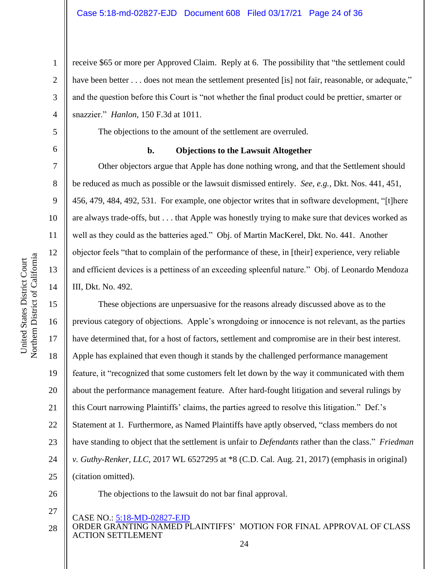receive \$65 or more per Approved Claim. Reply at 6. The possibility that "the settlement could have been better . . . does not mean the settlement presented [is] not fair, reasonable, or adequate," and the question before this Court is "not whether the final product could be prettier, smarter or snazzier." *Hanlon,* 150 F.3d at 1011.

The objections to the amount of the settlement are overruled.

6

1

2

3

4

5

7

8

9

10

11

12

13

14

## **b. Objections to the Lawsuit Altogether**

Other objectors argue that Apple has done nothing wrong, and that the Settlement should be reduced as much as possible or the lawsuit dismissed entirely. *See, e.g.,* Dkt. Nos. 441, 451, 456, 479, 484, 492, 531. For example, one objector writes that in software development, "[t]here are always trade-offs, but . . . that Apple was honestly trying to make sure that devices worked as well as they could as the batteries aged." Obj. of Martin MacKerel, Dkt. No. 441. Another objector feels "that to complain of the performance of these, in [their] experience, very reliable and efficient devices is a pettiness of an exceeding spleenful nature." Obj. of Leonardo Mendoza III, Dkt. No. 492.

15 16 17 18 19 20 21 22 23 24 25 These objections are unpersuasive for the reasons already discussed above as to the previous category of objections. Apple's wrongdoing or innocence is not relevant, as the parties have determined that, for a host of factors, settlement and compromise are in their best interest. Apple has explained that even though it stands by the challenged performance management feature, it "recognized that some customers felt let down by the way it communicated with them about the performance management feature. After hard-fought litigation and several rulings by this Court narrowing Plaintiffs' claims, the parties agreed to resolve this litigation." Def.'s Statement at 1. Furthermore, as Named Plaintiffs have aptly observed, "class members do not have standing to object that the settlement is unfair to *Defendants* rather than the class." *Friedman v. Guthy-Renker, LLC*, 2017 WL 6527295 at \*8 (C.D. Cal. Aug. 21, 2017) (emphasis in original) (citation omitted).

26

27

CASE NO.: 5:18-MD-02827-EJD

ORDER GRANTING NAMED PLAINTIFFS' MOTION FOR FINAL APPROVAL OF CLASS ACTION SETTLEMENT 28

The objections to the lawsuit do not bar final approval.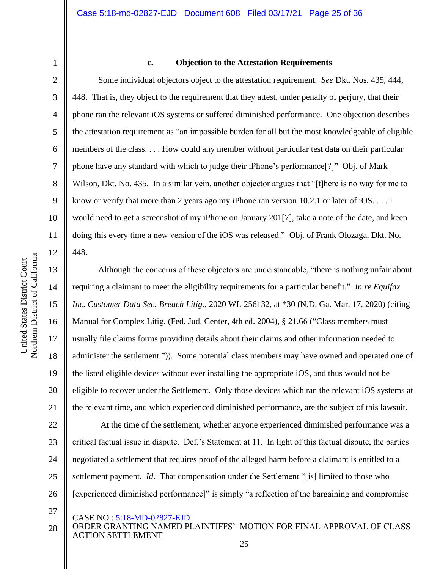4

5

6

7

8

9

10

11

12

13

14

15

16

17

18

19

20

21

#### **c. Objection to the Attestation Requirements**

Some individual objectors object to the attestation requirement. *See* Dkt. Nos. 435, 444, 448. That is, they object to the requirement that they attest, under penalty of perjury, that their phone ran the relevant iOS systems or suffered diminished performance. One objection describes the attestation requirement as "an impossible burden for all but the most knowledgeable of eligible members of the class. . . . How could any member without particular test data on their particular phone have any standard with which to judge their iPhone's performance[?]" Obj. of Mark Wilson, Dkt. No. 435. In a similar vein, another objector argues that "[t]here is no way for me to know or verify that more than 2 years ago my iPhone ran version 10.2.1 or later of iOS. . . . I would need to get a screenshot of my iPhone on January 201[7], take a note of the date, and keep doing this every time a new version of the iOS was released." Obj. of Frank Olozaga, Dkt. No. 448.

Although the concerns of these objectors are understandable, "there is nothing unfair about requiring a claimant to meet the eligibility requirements for a particular benefit." *In re Equifax Inc. Customer Data Sec. Breach Litig.*, 2020 WL 256132, at \*30 (N.D. Ga. Mar. 17, 2020) (citing Manual for Complex Litig. (Fed. Jud. Center, 4th ed. 2004), § 21.66 ("Class members must usually file claims forms providing details about their claims and other information needed to administer the settlement.")). Some potential class members may have owned and operated one of the listed eligible devices without ever installing the appropriate iOS, and thus would not be eligible to recover under the Settlement. Only those devices which ran the relevant iOS systems at the relevant time, and which experienced diminished performance, are the subject of this lawsuit.

22 23 24 25 26 At the time of the settlement, whether anyone experienced diminished performance was a critical factual issue in dispute. Def.'s Statement at 11. In light of this factual dispute, the parties negotiated a settlement that requires proof of the alleged harm before a claimant is entitled to a settlement payment. *Id*. That compensation under the Settlement "[is] limited to those who [experienced diminished performance]" is simply "a reflection of the bargaining and compromise

- 27
- CASE NO.: 5:18-MD-02827-EJD
- ORDER GRANTING NAMED PLAINTIFFS' MOTION FOR FINAL APPROVAL OF CLASS ACTION SETTLEMENT 28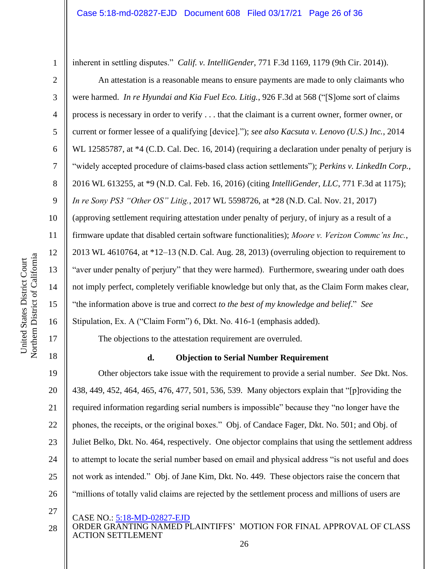inherent in settling disputes." *Calif. v. IntelliGender*, 771 F.3d 1169, 1179 (9th Cir. 2014)).

An attestation is a reasonable means to ensure payments are made to only claimants who were harmed. *In re Hyundai and Kia Fuel Eco. Litig.*, 926 F.3d at 568 ("[S]ome sort of claims process is necessary in order to verify . . . that the claimant is a current owner, former owner, or current or former lessee of a qualifying [device]."); *see also Kacsuta v. Lenovo (U.S.) Inc.*, 2014 WL 12585787, at  $*4$  (C.D. Cal. Dec. 16, 2014) (requiring a declaration under penalty of perjury is "widely accepted procedure of claims-based class action settlements"); *Perkins v. LinkedIn Corp.*, 2016 WL 613255, at \*9 (N.D. Cal. Feb. 16, 2016) (citing *IntelliGender, LLC*, 771 F.3d at 1175); *In re Sony PS3 "Other OS" Litig.*, 2017 WL 5598726, at \*28 (N.D. Cal. Nov. 21, 2017) (approving settlement requiring attestation under penalty of perjury, of injury as a result of a firmware update that disabled certain software functionalities); *Moore v. Verizon Commc'ns Inc.*, 2013 WL 4610764, at \*12–13 (N.D. Cal. Aug. 28, 2013) (overruling objection to requirement to "aver under penalty of perjury" that they were harmed). Furthermore, swearing under oath does not imply perfect, completely verifiable knowledge but only that, as the Claim Form makes clear, "the information above is true and correct *to the best of my knowledge and belief*." *See* 

Stipulation, Ex. A ("Claim Form") 6, Dkt. No. 416-1 (emphasis added).

The objections to the attestation requirement are overruled.

## **d. Objection to Serial Number Requirement**

19 20 21 22 23 24 25 26 Other objectors take issue with the requirement to provide a serial number. *See* Dkt. Nos. 438, 449, 452, 464, 465, 476, 477, 501, 536, 539. Many objectors explain that "[p]roviding the required information regarding serial numbers is impossible" because they "no longer have the phones, the receipts, or the original boxes." Obj. of Candace Fager, Dkt. No. 501; and Obj. of Juliet Belko, Dkt. No. 464, respectively. One objector complains that using the settlement address to attempt to locate the serial number based on email and physical address "is not useful and does not work as intended." Obj. of Jane Kim, Dkt. No. 449. These objectors raise the concern that "millions of totally valid claims are rejected by the settlement process and millions of users are

27

CASE NO.: 5:18-MD-02827-EJD

1

2

3

4

5

6

7

8

9

10

11

12

13

14

15

16

17

ORDER GRANTING NAMED PLAINTIFFS' MOTION FOR FINAL APPROVAL OF CLASS ACTION SETTLEMENT 28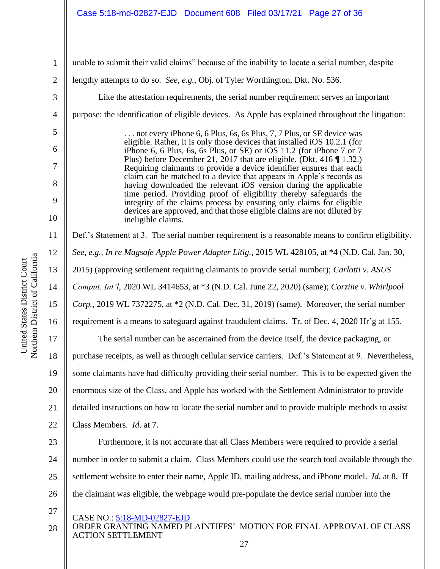## Case 5:18-md-02827-EJD Document 608 Filed 03/17/21 Page 27 of 36

| $\mathbf{1}$   | unable to submit their valid claims" because of the inability to locate a serial number, despite                                                  |
|----------------|---------------------------------------------------------------------------------------------------------------------------------------------------|
| $\mathbf{2}$   | lengthy attempts to do so. See, e.g., Obj. of Tyler Worthington, Dkt. No. 536.                                                                    |
| $\mathfrak{Z}$ | Like the attestation requirements, the serial number requirement serves an important                                                              |
| $\overline{4}$ | purpose: the identification of eligible devices. As Apple has explained throughout the litigation:                                                |
| $\mathfrak{S}$ | not every iPhone 6, 6 Plus, 6s, 6s Plus, 7, 7 Plus, or SE device was                                                                              |
| 6              | eligible. Rather, it is only those devices that installed iOS 10.2.1 (for<br>iPhone 6, 6 Plus, 6s, 6s Plus, or SE) or iOS 11.2 (for iPhone 7 or 7 |
| $\overline{7}$ | Plus) before December 21, 2017 that are eligible. (Dkt. 416 $\P$ 1.32.)<br>Requiring claimants to provide a device identifier ensures that each   |
| 8              | claim can be matched to a device that appears in Apple's records as<br>having downloaded the relevant iOS version during the applicable           |
| 9              | time period. Providing proof of eligibility thereby safeguards the<br>integrity of the claims process by ensuring only claims for eligible        |
| 10             | devices are approved, and that those eligible claims are not diluted by<br>ineligible claims.                                                     |
| 11             | Def.'s Statement at 3. The serial number requirement is a reasonable means to confirm eligibility.                                                |
| 12             | See, e.g., In re Magsafe Apple Power Adapter Litig., 2015 WL 428105, at *4 (N.D. Cal. Jan. 30,                                                    |
| 13             | 2015) (approving settlement requiring claimants to provide serial number); Carlotti v. ASUS                                                       |
| 14             | Comput. Int'l, 2020 WL 3414653, at *3 (N.D. Cal. June 22, 2020) (same); Corzine v. Whirlpool                                                      |
| 15             | Corp., 2019 WL 7372275, at *2 (N.D. Cal. Dec. 31, 2019) (same). Moreover, the serial number                                                       |
| 16             | requirement is a means to safeguard against fraudulent claims. Tr. of Dec. 4, 2020 Hr'g at 155.                                                   |
| 17             | The serial number can be ascertained from the device itself, the device packaging, or                                                             |
| 18             | purchase receipts, as well as through cellular service carriers. Def.'s Statement at 9. Nevertheless,                                             |
| 19             | some claimants have had difficulty providing their serial number. This is to be expected given the                                                |
| 20             | enormous size of the Class, and Apple has worked with the Settlement Administrator to provide                                                     |
| 21             | detailed instructions on how to locate the serial number and to provide multiple methods to assist                                                |
| 22             | Class Members. <i>Id.</i> at 7.                                                                                                                   |
| 23             | Furthermore, it is not accurate that all Class Members were required to provide a serial                                                          |
| 24             | number in order to submit a claim. Class Members could use the search tool available through the                                                  |
| 25             | settlement website to enter their name, Apple ID, mailing address, and iPhone model. <i>Id.</i> at 8. If                                          |
| 26             | the claimant was eligible, the webpage would pre-populate the device serial number into the                                                       |
| 27<br>28       | CASE NO.: 5:18-MD-02827-EJD<br>ORDER GRANTING NAMED PLAINTIFFS' MOTION FOR FINAL APPROVAL OF CLASS                                                |

ACTION SETTLEMENT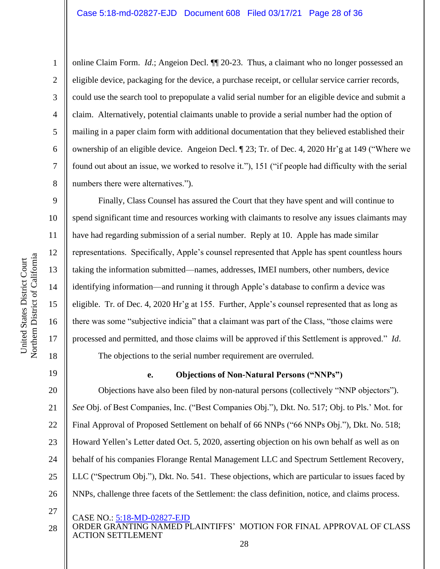online Claim Form. *Id*.; Angeion Decl. ¶¶ 20-23. Thus, a claimant who no longer possessed an eligible device, packaging for the device, a purchase receipt, or cellular service carrier records, could use the search tool to prepopulate a valid serial number for an eligible device and submit a claim. Alternatively, potential claimants unable to provide a serial number had the option of mailing in a paper claim form with additional documentation that they believed established their ownership of an eligible device. Angeion Decl. ¶ 23; Tr. of Dec. 4, 2020 Hr'g at 149 ("Where we found out about an issue, we worked to resolve it."), 151 ("if people had difficulty with the serial numbers there were alternatives.").

Finally, Class Counsel has assured the Court that they have spent and will continue to spend significant time and resources working with claimants to resolve any issues claimants may have had regarding submission of a serial number. Reply at 10. Apple has made similar representations. Specifically, Apple's counsel represented that Apple has spent countless hours taking the information submitted—names, addresses, IMEI numbers, other numbers, device identifying information—and running it through Apple's database to confirm a device was eligible. Tr. of Dec. 4, 2020 Hr'g at 155. Further, Apple's counsel represented that as long as there was some "subjective indicia" that a claimant was part of the Class, "those claims were processed and permitted, and those claims will be approved if this Settlement is approved." *Id*. The objections to the serial number requirement are overruled.

19

1

2

3

4

5

6

7

8

9

10

11

12

13

14

15

16

17

18

## **e. Objections of Non-Natural Persons ("NNPs")**

20 21 22 23 24 25 26 Objections have also been filed by non-natural persons (collectively "NNP objectors"). *See* Obj. of Best Companies, Inc. ("Best Companies Obj."), Dkt. No. 517; Obj. to Pls.' Mot. for Final Approval of Proposed Settlement on behalf of 66 NNPs ("66 NNPs Obj."), Dkt. No. 518; Howard Yellen's Letter dated Oct. 5, 2020, asserting objection on his own behalf as well as on behalf of his companies Florange Rental Management LLC and Spectrum Settlement Recovery, LLC ("Spectrum Obj."), Dkt. No. 541. These objections, which are particular to issues faced by NNPs, challenge three facets of the Settlement: the class definition, notice, and claims process.

- 27
- CASE NO.: 5:18-MD-02827-EJD
- ORDER GRANTING NAMED PLAINTIFFS' MOTION FOR FINAL APPROVAL OF CLASS ACTION SETTLEMENT 28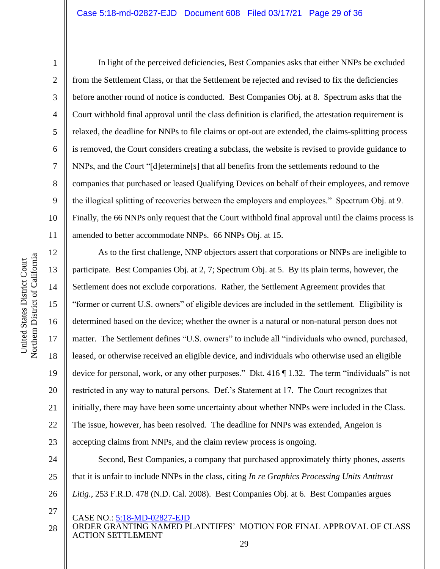2

3

4

5

6

7

8

9

10

11

27

In light of the perceived deficiencies, Best Companies asks that either NNPs be excluded from the Settlement Class, or that the Settlement be rejected and revised to fix the deficiencies before another round of notice is conducted. Best Companies Obj. at 8. Spectrum asks that the Court withhold final approval until the class definition is clarified, the attestation requirement is relaxed, the deadline for NNPs to file claims or opt-out are extended, the claims-splitting process is removed, the Court considers creating a subclass, the website is revised to provide guidance to NNPs, and the Court "[d]etermine[s] that all benefits from the settlements redound to the companies that purchased or leased Qualifying Devices on behalf of their employees, and remove the illogical splitting of recoveries between the employers and employees." Spectrum Obj. at 9. Finally, the 66 NNPs only request that the Court withhold final approval until the claims process is amended to better accommodate NNPs. 66 NNPs Obj. at 15.

12 13 14 15 16 17 18 19 20 21 22 23 As to the first challenge, NNP objectors assert that corporations or NNPs are ineligible to participate. Best Companies Obj. at 2, 7; Spectrum Obj. at 5. By its plain terms, however, the Settlement does not exclude corporations. Rather, the Settlement Agreement provides that "former or current U.S. owners" of eligible devices are included in the settlement. Eligibility is determined based on the device; whether the owner is a natural or non-natural person does not matter. The Settlement defines "U.S. owners" to include all "individuals who owned, purchased, leased, or otherwise received an eligible device, and individuals who otherwise used an eligible device for personal, work, or any other purposes." Dkt. 416 ¶ 1.32. The term "individuals" is not restricted in any way to natural persons. Def.'s Statement at 17. The Court recognizes that initially, there may have been some uncertainty about whether NNPs were included in the Class. The issue, however, has been resolved. The deadline for NNPs was extended, Angeion is accepting claims from NNPs, and the claim review process is ongoing.

24 25 26 Second, Best Companies, a company that purchased approximately thirty phones, asserts that it is unfair to include NNPs in the class, citing *In re Graphics Processing Units Antitrust Litig.*, 253 F.R.D. 478 (N.D. Cal. 2008). Best Companies Obj. at 6. Best Companies argues

CASE NO.: 5:18-MD-02827-EJD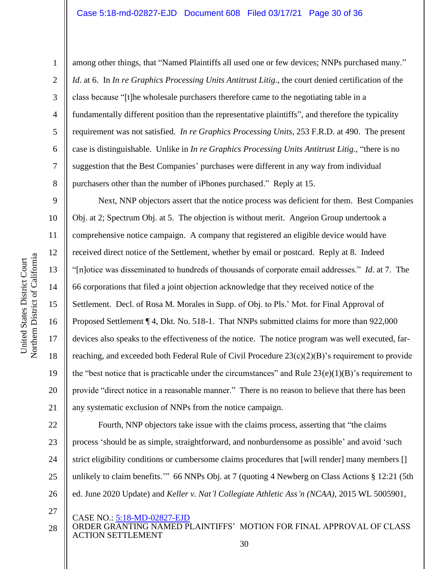Northern District of California Northern District of California United States District Court

United States District Court

1

2

3

4

5

6

7

8

9

10

11

12

13

14

15

16

17

18

19

20

21

among other things, that "Named Plaintiffs all used one or few devices; NNPs purchased many." *Id*. at 6. In *In re Graphics Processing Units Antitrust Litig.*, the court denied certification of the class because "[t]he wholesale purchasers therefore came to the negotiating table in a fundamentally different position than the representative plaintiffs", and therefore the typicality requirement was not satisfied. *In re Graphics Processing Units*, 253 F.R.D. at 490. The present case is distinguishable. Unlike in *In re Graphics Processing Units Antitrust Litig.*, "there is no suggestion that the Best Companies' purchases were different in any way from individual purchasers other than the number of iPhones purchased." Reply at 15.

Next, NNP objectors assert that the notice process was deficient for them. Best Companies Obj. at 2; Spectrum Obj. at 5. The objection is without merit. Angeion Group undertook a comprehensive notice campaign. A company that registered an eligible device would have received direct notice of the Settlement, whether by email or postcard. Reply at 8. Indeed "[n]otice was disseminated to hundreds of thousands of corporate email addresses." *Id*. at 7. The 66 corporations that filed a joint objection acknowledge that they received notice of the Settlement. Decl. of Rosa M. Morales in Supp. of Obj. to Pls.' Mot. for Final Approval of Proposed Settlement ¶ 4, Dkt. No. 518-1. That NNPs submitted claims for more than 922,000 devices also speaks to the effectiveness of the notice. The notice program was well executed, farreaching, and exceeded both Federal Rule of Civil Procedure  $23(c)(2)(B)$ 's requirement to provide the "best notice that is practicable under the circumstances" and Rule  $23(e)(1)(B)$ " s requirement to provide "direct notice in a reasonable manner." There is no reason to believe that there has been any systematic exclusion of NNPs from the notice campaign.

22 23 24 25 26 Fourth, NNP objectors take issue with the claims process, asserting that "the claims process 'should be as simple, straightforward, and nonburdensome as possible' and avoid 'such strict eligibility conditions or cumbersome claims procedures that [will render] many members [] unlikely to claim benefits.'" 66 NNPs Obj. at 7 (quoting 4 Newberg on Class Actions § 12:21 (5th ed. June 2020 Update) and *Keller v. Nat'l Collegiate Athletic Ass'n (NCAA)*, 2015 WL 5005901,

27

CASE NO.: 5:18-MD-02827-EJD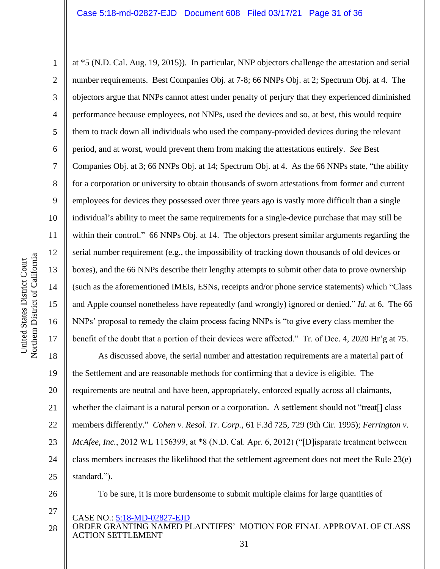1 2 3 4 5 6 7 8 9 10 11 12 13 14 15 16 17 at \*5 (N.D. Cal. Aug. 19, 2015)). In particular, NNP objectors challenge the attestation and serial number requirements. Best Companies Obj. at 7-8; 66 NNPs Obj. at 2; Spectrum Obj. at 4. The objectors argue that NNPs cannot attest under penalty of perjury that they experienced diminished performance because employees, not NNPs, used the devices and so, at best, this would require them to track down all individuals who used the company-provided devices during the relevant period, and at worst, would prevent them from making the attestations entirely. *See* Best Companies Obj. at 3; 66 NNPs Obj. at 14; Spectrum Obj. at 4. As the 66 NNPs state, "the ability for a corporation or university to obtain thousands of sworn attestations from former and current employees for devices they possessed over three years ago is vastly more difficult than a single individual's ability to meet the same requirements for a single-device purchase that may still be within their control." 66 NNPs Obj. at 14. The objectors present similar arguments regarding the serial number requirement (e.g., the impossibility of tracking down thousands of old devices or boxes), and the 66 NNPs describe their lengthy attempts to submit other data to prove ownership (such as the aforementioned IMEIs, ESNs, receipts and/or phone service statements) which "Class and Apple counsel nonetheless have repeatedly (and wrongly) ignored or denied." *Id*. at 6. The 66 NNPs' proposal to remedy the claim process facing NNPs is "to give every class member the benefit of the doubt that a portion of their devices were affected." Tr. of Dec. 4, 2020 Hr'g at 75.

18 19 20 21 22 23 24 25 As discussed above, the serial number and attestation requirements are a material part of the Settlement and are reasonable methods for confirming that a device is eligible. The requirements are neutral and have been, appropriately, enforced equally across all claimants, whether the claimant is a natural person or a corporation. A settlement should not "treat<sup>[]</sup> class members differently." *Cohen v. Resol. Tr. Corp.*, 61 F.3d 725, 729 (9th Cir. 1995); *Ferrington v. McAfee, Inc.*, 2012 WL 1156399, at \*8 (N.D. Cal. Apr. 6, 2012) ("[D]isparate treatment between class members increases the likelihood that the settlement agreement does not meet the Rule 23(e) standard.").

26

27

To be sure, it is more burdensome to submit multiple claims for large quantities of

- CASE NO.: 5:18-MD-02827-EJD
- ORDER GRANTING NAMED PLAINTIFFS' MOTION FOR FINAL APPROVAL OF CLASS ACTION SETTLEMENT 28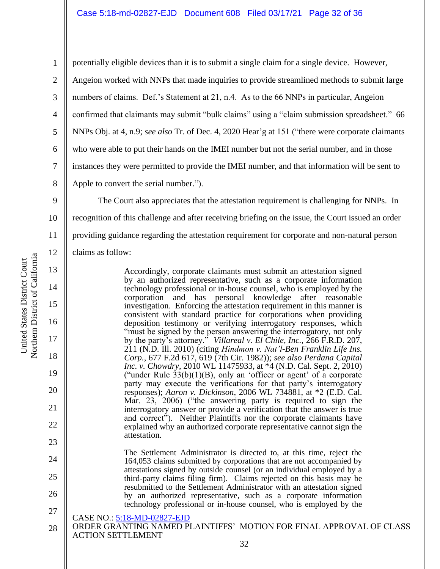1 2 3 4 5 6 7 8 potentially eligible devices than it is to submit a single claim for a single device. However, Angeion worked with NNPs that made inquiries to provide streamlined methods to submit large numbers of claims. Def.'s Statement at 21, n.4. As to the 66 NNPs in particular, Angeion confirmed that claimants may submit "bulk claims" using a "claim submission spreadsheet." 66 NNPs Obj. at 4, n.9; *see also* Tr. of Dec. 4, 2020 Hear'g at 151 ("there were corporate claimants who were able to put their hands on the IMEI number but not the serial number, and in those instances they were permitted to provide the IMEI number, and that information will be sent to Apple to convert the serial number.").

9 10 11 12 The Court also appreciates that the attestation requirement is challenging for NNPs. In recognition of this challenge and after receiving briefing on the issue, the Court issued an order providing guidance regarding the attestation requirement for corporate and non-natural person claims as follow:

> Accordingly, corporate claimants must submit an attestation signed by an authorized representative, such as a corporate information technology professional or in-house counsel, who is employed by the corporation and has personal knowledge after reasonable investigation. Enforcing the attestation requirement in this manner is consistent with standard practice for corporations when providing deposition testimony or verifying interrogatory responses, which "must be signed by the person answering the interrogatory, not only by the party's attorney." *Villareal v. El Chile, Inc.*, 266 F.R.D. 207, 211 (N.D. Ill. 2010) (citing *Hindmon v. Nat'l-Ben Franklin Life Ins. Corp.*, 677 F.2d 617, 619 (7th Cir. 1982)); *see also Perdana Capital Inc. v. Chowdry*, 2010 WL 11475933, at \*4 (N.D. Cal. Sept. 2, 2010) ("under Rule  $33(b)(1)(B)$ , only an 'officer or agent' of a corporate party may execute the verifications for that party's interrogatory responses); *Aaron v. Dickinson*, 2006 WL 734881, at \*2 (E.D. Cal. Mar. 23, 2006) ("the answering party is required to sign the interrogatory answer or provide a verification that the answer is true and correct"). Neither Plaintiffs nor the corporate claimants have explained why an authorized corporate representative cannot sign the attestation.

> The Settlement Administrator is directed to, at this time, reject the 164,053 claims submitted by corporations that are not accompanied by attestations signed by outside counsel (or an individual employed by a third-party claims filing firm). Claims rejected on this basis may be resubmitted to the Settlement Administrator with an attestation signed by an authorized representative, such as a corporate information technology professional or in-house counsel, who is employed by the

CASE NO.: 5:18-MD-02827-EJD

ORDER GRANTING NAMED PLAINTIFFS' MOTION FOR FINAL APPROVAL OF CLASS ACTION SETTLEMENT 28

13

14

15

16

17

18

19

20

21

22

23

24

25

26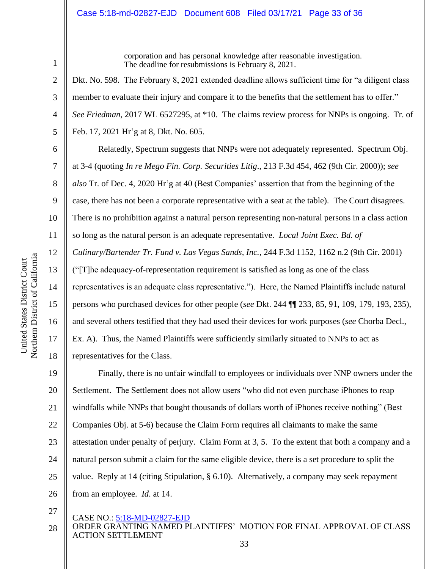#### Case 5:18-md-02827-EJD Document 608 Filed 03/17/21 Page 33 of 36

1 2

3

4

5

6

7

8

9

10

11

12

13

14

15

16

17

18

corporation and has personal knowledge after reasonable investigation. The deadline for resubmissions is February 8, 2021.

Dkt. No. 598. The February 8, 2021 extended deadline allows sufficient time for "a diligent class member to evaluate their injury and compare it to the benefits that the settlement has to offer." *See Friedman*, 2017 WL 6527295, at \*10. The claims review process for NNPs is ongoing. Tr. of Feb. 17, 2021 Hr'g at 8, Dkt. No. 605.

Relatedly, Spectrum suggests that NNPs were not adequately represented. Spectrum Obj. at 3-4 (quoting *In re Mego Fin. Corp. Securities Litig*., 213 F.3d 454, 462 (9th Cir. 2000)); *see also* Tr. of Dec. 4, 2020 Hr'g at 40 (Best Companies' assertion that from the beginning of the case, there has not been a corporate representative with a seat at the table). The Court disagrees. There is no prohibition against a natural person representing non-natural persons in a class action so long as the natural person is an adequate representative. *Local Joint Exec. Bd. of Culinary/Bartender Tr. Fund v. Las Vegas Sands, Inc.*, 244 F.3d 1152, 1162 n.2 (9th Cir. 2001) ("[T]he adequacy-of-representation requirement is satisfied as long as one of the class representatives is an adequate class representative."). Here, the Named Plaintiffs include natural persons who purchased devices for other people (*see* Dkt. 244 ¶¶ 233, 85, 91, 109, 179, 193, 235), and several others testified that they had used their devices for work purposes (*see* Chorba Decl., Ex. A). Thus, the Named Plaintiffs were sufficiently similarly situated to NNPs to act as representatives for the Class.

19 20 21 22 23 24 25 26 Finally, there is no unfair windfall to employees or individuals over NNP owners under the Settlement. The Settlement does not allow users "who did not even purchase iPhones to reap windfalls while NNPs that bought thousands of dollars worth of iPhones receive nothing" (Best Companies Obj. at 5-6) because the Claim Form requires all claimants to make the same attestation under penalty of perjury. Claim Form at 3, 5. To the extent that both a company and a natural person submit a claim for the same eligible device, there is a set procedure to split the value. Reply at 14 (citing Stipulation, § 6.10). Alternatively, a company may seek repayment from an employee. *Id*. at 14.

27

#### CASE NO.: 5:18-MD-02827-EJD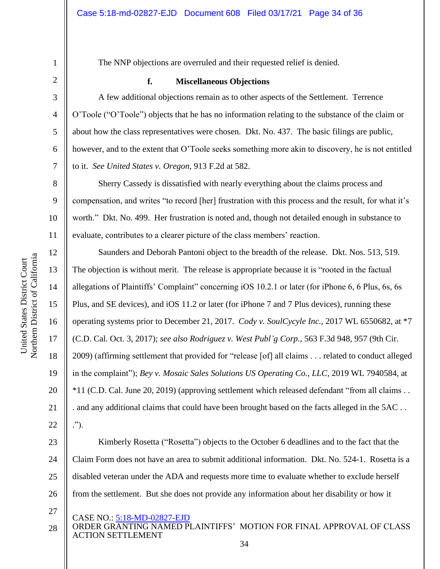12

13

14

15

16

17

18

19

20

21

22

27

The NNP objections are overruled and their requested relief is denied.

#### **f. Miscellaneous Objections**

A few additional objections remain as to other aspects of the Settlement. Terrence O'Toole ("O'Toole") objects that he has no information relating to the substance of the claim or about how the class representatives were chosen. Dkt. No. 437. The basic filings are public, however, and to the extent that O'Toole seeks something more akin to discovery, he is not entitled to it. *See United States v. Oregon*, 913 F.2d at 582.

Sherry Cassedy is dissatisfied with nearly everything about the claims process and compensation, and writes "to record [her] frustration with this process and the result, for what it's worth." Dkt. No. 499. Her frustration is noted and, though not detailed enough in substance to evaluate, contributes to a clearer picture of the class members' reaction.

Saunders and Deborah Pantoni object to the breadth of the release. Dkt. Nos. 513, 519. The objection is without merit. The release is appropriate because it is "rooted in the factual allegations of Plaintiffs' Complaint" concerning iOS 10.2.1 or later (for iPhone 6, 6 Plus, 6s, 6s Plus, and SE devices), and iOS 11.2 or later (for iPhone 7 and 7 Plus devices), running these operating systems prior to December 21, 2017. *Cody v. SoulCycyle Inc.*, 2017 WL 6550682, at \*7 (C.D. Cal. Oct. 3, 2017); *see also Rodriguez v. West Publ'g Corp.*, 563 F.3d 948, 957 (9th Cir. 2009) (affirming settlement that provided for "release [of] all claims . . . related to conduct alleged in the complaint"); *Bey v. Mosaic Sales Solutions US Operating Co., LLC*, 2019 WL 7940584, at \*11 (C.D. Cal. June 20, 2019) (approving settlement which released defendant "from all claims . . . and any additional claims that could have been brought based on the facts alleged in the 5AC . . .").

23 24 25 26 Kimberly Rosetta ("Rosetta") objects to the October 6 deadlines and to the fact that the Claim Form does not have an area to submit additional information. Dkt. No. 524-1. Rosetta is a disabled veteran under the ADA and requests more time to evaluate whether to exclude herself from the settlement. But she does not provide any information about her disability or how it

- CASE NO.: 5:18-MD-02827-EJD
- ORDER GRANTING NAMED PLAINTIFFS' MOTION FOR FINAL APPROVAL OF CLASS ACTION SETTLEMENT 28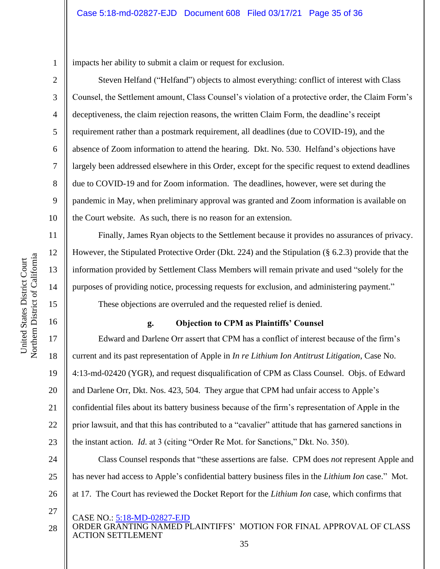impacts her ability to submit a claim or request for exclusion.

Steven Helfand ("Helfand") objects to almost everything: conflict of interest with Class Counsel, the Settlement amount, Class Counsel's violation of a protective order, the Claim Form's deceptiveness, the claim rejection reasons, the written Claim Form, the deadline's receipt requirement rather than a postmark requirement, all deadlines (due to COVID-19), and the absence of Zoom information to attend the hearing. Dkt. No. 530. Helfand's objections have largely been addressed elsewhere in this Order, except for the specific request to extend deadlines due to COVID-19 and for Zoom information. The deadlines, however, were set during the pandemic in May, when preliminary approval was granted and Zoom information is available on the Court website. As such, there is no reason for an extension.

Finally, James Ryan objects to the Settlement because it provides no assurances of privacy. However, the Stipulated Protective Order (Dkt. 224) and the Stipulation (§ 6.2.3) provide that the information provided by Settlement Class Members will remain private and used "solely for the purposes of providing notice, processing requests for exclusion, and administering payment."

These objections are overruled and the requested relief is denied.

## **g. Objection to CPM as Plaintiffs' Counsel**

Edward and Darlene Orr assert that CPM has a conflict of interest because of the firm's current and its past representation of Apple in *In re Lithium Ion Antitrust Litigation*, Case No. 4:13-md-02420 (YGR), and request disqualification of CPM as Class Counsel. Objs. of Edward and Darlene Orr, Dkt. Nos. 423, 504. They argue that CPM had unfair access to Apple's confidential files about its battery business because of the firm's representation of Apple in the prior lawsuit, and that this has contributed to a "cavalier" attitude that has garnered sanctions in the instant action. *Id*. at 3 (citing "Order Re Mot. for Sanctions," Dkt. No. 350).

24 25 26 Class Counsel responds that "these assertions are false. CPM does *not* represent Apple and has never had access to Apple's confidential battery business files in the *Lithium Ion* case." Mot. at 17. The Court has reviewed the Docket Report for the *Lithium Ion* case, which confirms that

- CASE NO.: 5:18-MD-02827-EJD
- ORDER GRANTING NAMED PLAINTIFFS' MOTION FOR FINAL APPROVAL OF CLASS ACTION SETTLEMENT 28

1

2

3

4

5

6

7

8

9

10

11

12

13

14

15

16

17

18

19

20

21

22

23